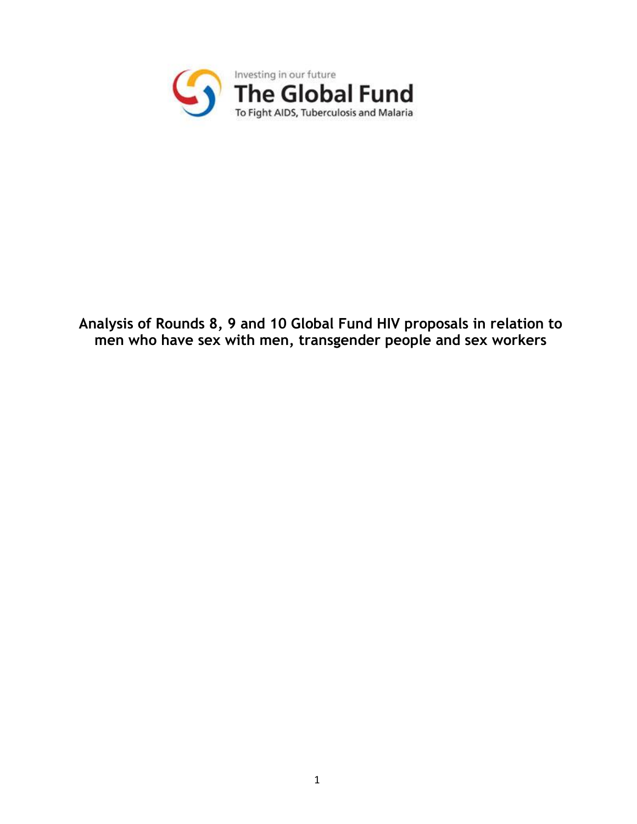

## **Analysis of Rounds 8, 9 and 10 Global Fund HIV proposals in relation to men who have sex with men, transgender people and sex workers**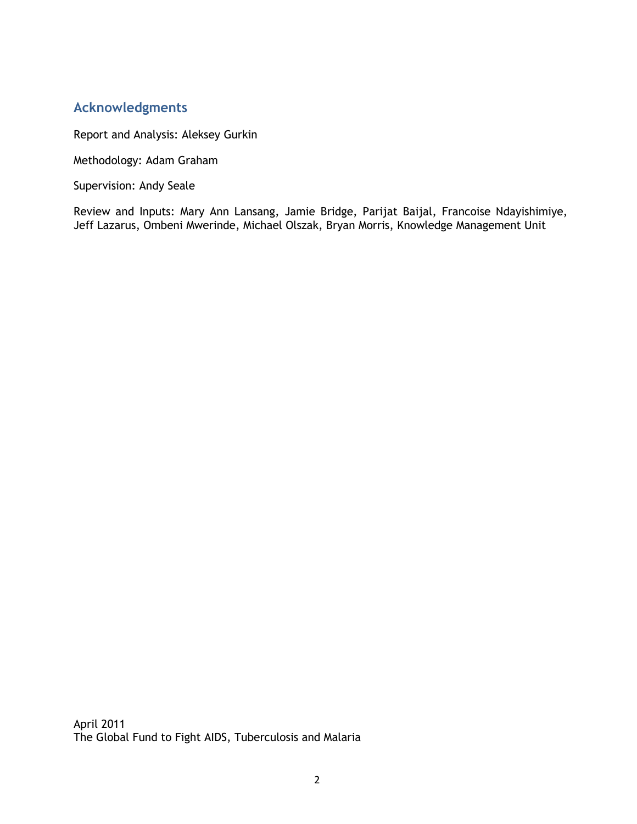#### **Acknowledgments**

Report and Analysis: Aleksey Gurkin

Methodology: Adam Graham

Supervision: Andy Seale

Review and Inputs: Mary Ann Lansang, Jamie Bridge, Parijat Baijal, Francoise Ndayishimiye, Jeff Lazarus, Ombeni Mwerinde, Michael Olszak, Bryan Morris, Knowledge Management Unit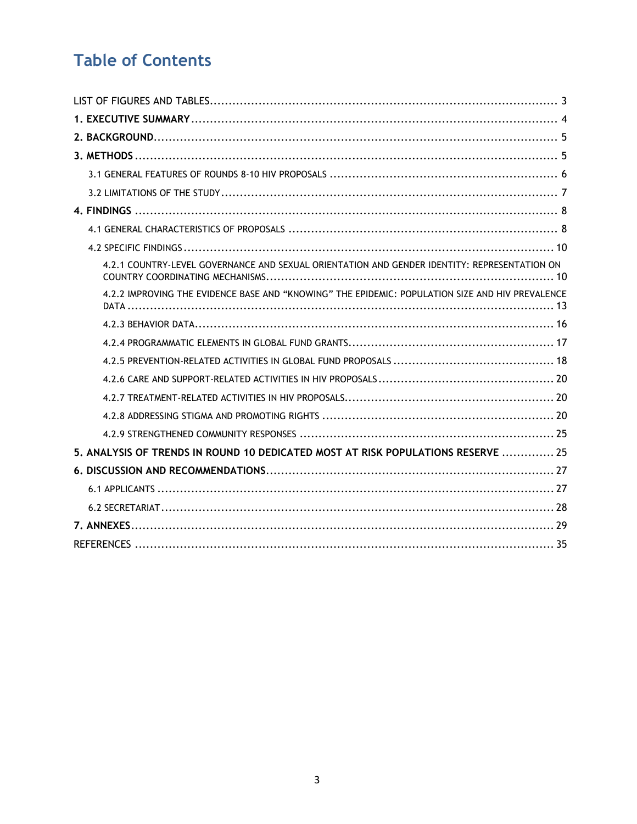# **Table of Contents**

| 4.2.1 COUNTRY-LEVEL GOVERNANCE AND SEXUAL ORIENTATION AND GENDER IDENTITY: REPRESENTATION ON     |
|--------------------------------------------------------------------------------------------------|
| 4.2.2 IMPROVING THE EVIDENCE BASE AND "KNOWING" THE EPIDEMIC: POPULATION SIZE AND HIV PREVALENCE |
|                                                                                                  |
|                                                                                                  |
|                                                                                                  |
|                                                                                                  |
|                                                                                                  |
|                                                                                                  |
|                                                                                                  |
| 5. ANALYSIS OF TRENDS IN ROUND 10 DEDICATED MOST AT RISK POPULATIONS RESERVE  25                 |
|                                                                                                  |
|                                                                                                  |
|                                                                                                  |
|                                                                                                  |
|                                                                                                  |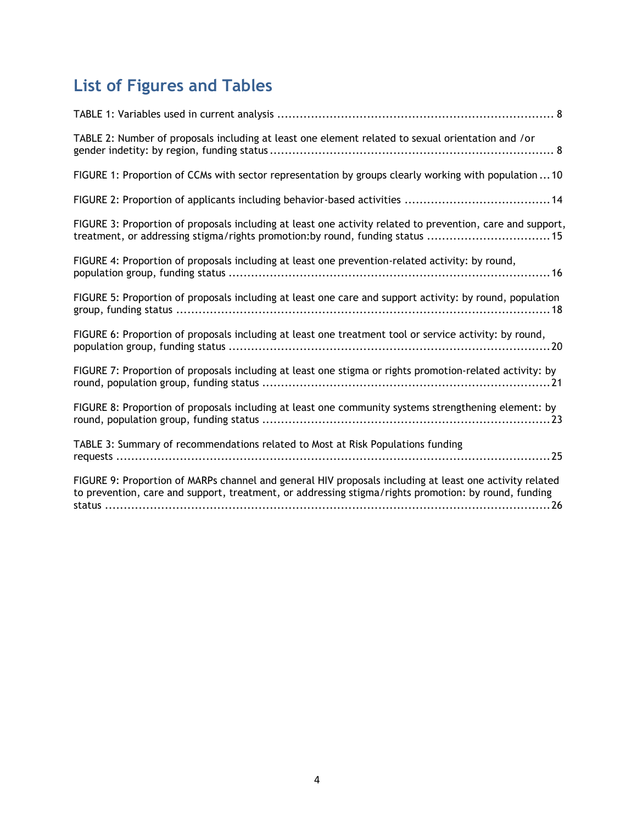# <span id="page-3-0"></span>**List of Figures and Tables**

| TABLE 2: Number of proposals including at least one element related to sexual orientation and /or                                                                                                               |
|-----------------------------------------------------------------------------------------------------------------------------------------------------------------------------------------------------------------|
| FIGURE 1: Proportion of CCMs with sector representation by groups clearly working with population  10                                                                                                           |
|                                                                                                                                                                                                                 |
| FIGURE 3: Proportion of proposals including at least one activity related to prevention, care and support,<br>treatment, or addressing stigma/rights promotion:by round, funding status  15                     |
| FIGURE 4: Proportion of proposals including at least one prevention-related activity: by round,                                                                                                                 |
| FIGURE 5: Proportion of proposals including at least one care and support activity: by round, population                                                                                                        |
| FIGURE 6: Proportion of proposals including at least one treatment tool or service activity: by round,                                                                                                          |
| FIGURE 7: Proportion of proposals including at least one stigma or rights promotion-related activity: by                                                                                                        |
| FIGURE 8: Proportion of proposals including at least one community systems strengthening element: by                                                                                                            |
| TABLE 3: Summary of recommendations related to Most at Risk Populations funding                                                                                                                                 |
| FIGURE 9: Proportion of MARPs channel and general HIV proposals including at least one activity related<br>to prevention, care and support, treatment, or addressing stigma/rights promotion: by round, funding |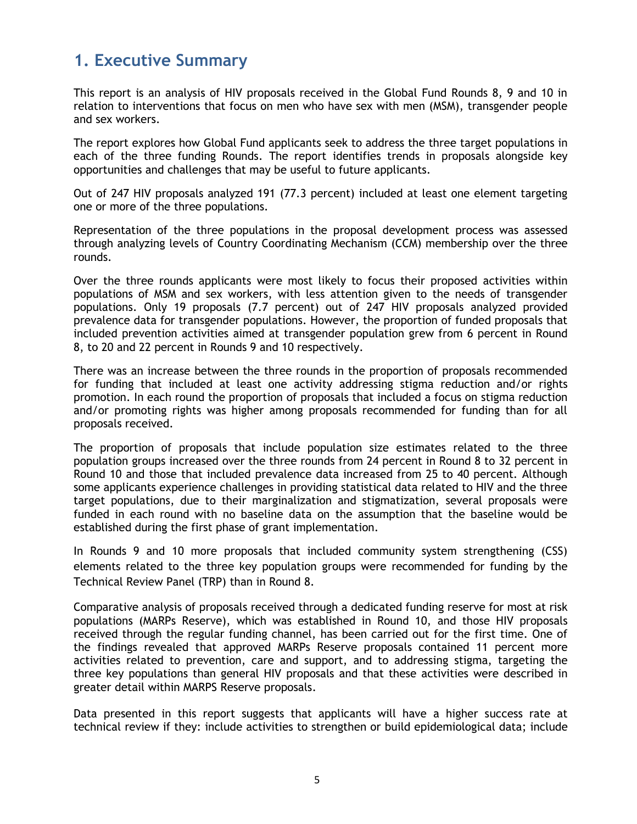## <span id="page-4-0"></span>**1. Executive Summary**

This report is an analysis of HIV proposals received in the Global Fund Rounds 8, 9 and 10 in relation to interventions that focus on men who have sex with men (MSM), transgender people and sex workers.

The report explores how Global Fund applicants seek to address the three target populations in each of the three funding Rounds. The report identifies trends in proposals alongside key opportunities and challenges that may be useful to future applicants.

Out of 247 HIV proposals analyzed 191 (77.3 percent) included at least one element targeting one or more of the three populations.

Representation of the three populations in the proposal development process was assessed through analyzing levels of Country Coordinating Mechanism (CCM) membership over the three rounds.

Over the three rounds applicants were most likely to focus their proposed activities within populations of MSM and sex workers, with less attention given to the needs of transgender populations. Only 19 proposals (7.7 percent) out of 247 HIV proposals analyzed provided prevalence data for transgender populations. However, the proportion of funded proposals that included prevention activities aimed at transgender population grew from 6 percent in Round 8, to 20 and 22 percent in Rounds 9 and 10 respectively.

There was an increase between the three rounds in the proportion of proposals recommended for funding that included at least one activity addressing stigma reduction and/or rights promotion. In each round the proportion of proposals that included a focus on stigma reduction and/or promoting rights was higher among proposals recommended for funding than for all proposals received.

The proportion of proposals that include population size estimates related to the three population groups increased over the three rounds from 24 percent in Round 8 to 32 percent in Round 10 and those that included prevalence data increased from 25 to 40 percent. Although some applicants experience challenges in providing statistical data related to HIV and the three target populations, due to their marginalization and stigmatization, several proposals were funded in each round with no baseline data on the assumption that the baseline would be established during the first phase of grant implementation.

In Rounds 9 and 10 more proposals that included community system strengthening (CSS) elements related to the three key population groups were recommended for funding by the Technical Review Panel (TRP) than in Round 8.

Comparative analysis of proposals received through a dedicated funding reserve for most at risk populations (MARPs Reserve), which was established in Round 10, and those HIV proposals received through the regular funding channel, has been carried out for the first time. One of the findings revealed that approved MARPs Reserve proposals contained 11 percent more activities related to prevention, care and support, and to addressing stigma, targeting the three key populations than general HIV proposals and that these activities were described in greater detail within MARPS Reserve proposals.

Data presented in this report suggests that applicants will have a higher success rate at technical review if they: include activities to strengthen or build epidemiological data; include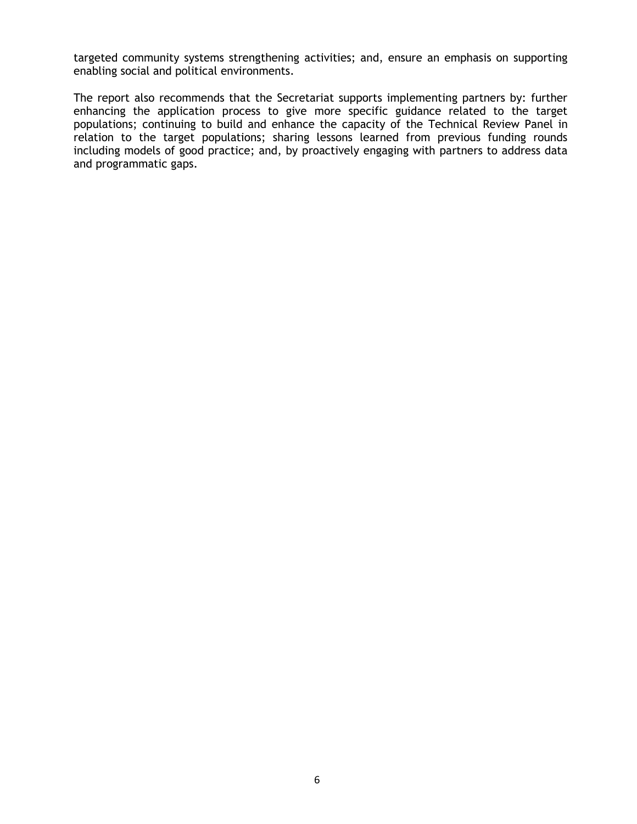targeted community systems strengthening activities; and, ensure an emphasis on supporting enabling social and political environments.

The report also recommends that the Secretariat supports implementing partners by: further enhancing the application process to give more specific guidance related to the target populations; continuing to build and enhance the capacity of the Technical Review Panel in relation to the target populations; sharing lessons learned from previous funding rounds including models of good practice; and, by proactively engaging with partners to address data and programmatic gaps.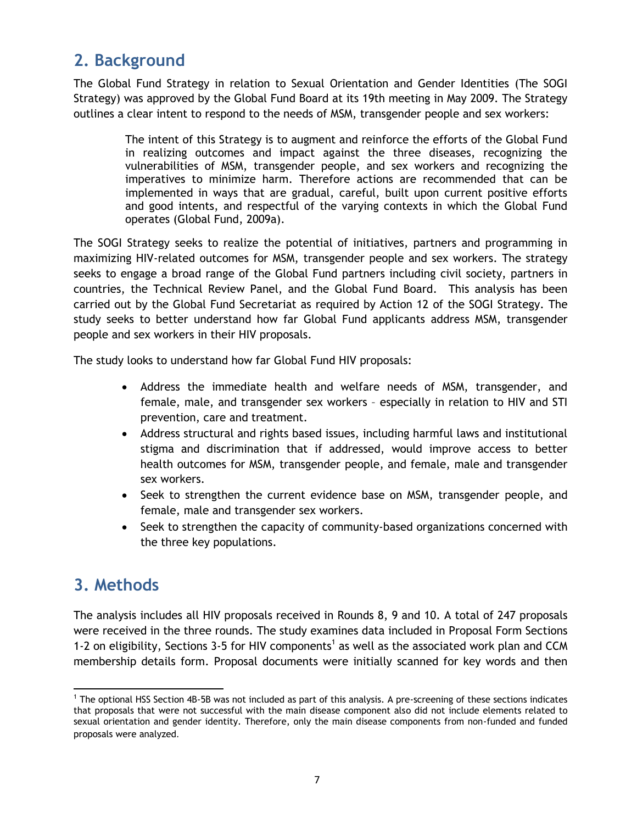## <span id="page-6-0"></span>**2. Background**

The Global Fund Strategy in relation to Sexual Orientation and Gender Identities (The SOGI Strategy) was approved by the Global Fund Board at its 19th meeting in May 2009. The Strategy outlines a clear intent to respond to the needs of MSM, transgender people and sex workers:

> The intent of this Strategy is to augment and reinforce the efforts of the Global Fund in realizing outcomes and impact against the three diseases, recognizing the vulnerabilities of MSM, transgender people, and sex workers and recognizing the imperatives to minimize harm. Therefore actions are recommended that can be implemented in ways that are gradual, careful, built upon current positive efforts and good intents, and respectful of the varying contexts in which the Global Fund operates (Global Fund, 2009a).

The SOGI Strategy seeks to realize the potential of initiatives, partners and programming in maximizing HIV-related outcomes for MSM, transgender people and sex workers. The strategy seeks to engage a broad range of the Global Fund partners including civil society, partners in countries, the Technical Review Panel, and the Global Fund Board. This analysis has been carried out by the Global Fund Secretariat as required by Action 12 of the SOGI Strategy. The study seeks to better understand how far Global Fund applicants address MSM, transgender people and sex workers in their HIV proposals.

The study looks to understand how far Global Fund HIV proposals:

- Address the immediate health and welfare needs of MSM, transgender, and female, male, and transgender sex workers – especially in relation to HIV and STI prevention, care and treatment.
- Address structural and rights based issues, including harmful laws and institutional stigma and discrimination that if addressed, would improve access to better health outcomes for MSM, transgender people, and female, male and transgender sex workers.
- Seek to strengthen the current evidence base on MSM, transgender people, and female, male and transgender sex workers.
- Seek to strengthen the capacity of community-based organizations concerned with the three key populations.

## <span id="page-6-1"></span>**3. Methods**

The analysis includes all HIV proposals received in Rounds 8, 9 and 10. A total of 247 proposals were received in the three rounds. The study examines data included in Proposal Form Sections 1-2 on eligibility, Sections 3-5 for HIV components<sup>1</sup> as well as the associated work plan and CCM membership details form. Proposal documents were initially scanned for key words and then

 $\overline{a}$ <sup>1</sup> The optional HSS Section 4B-5B was not included as part of this analysis. A pre-screening of these sections indicates that proposals that were not successful with the main disease component also did not include elements related to sexual orientation and gender identity. Therefore, only the main disease components from non-funded and funded proposals were analyzed.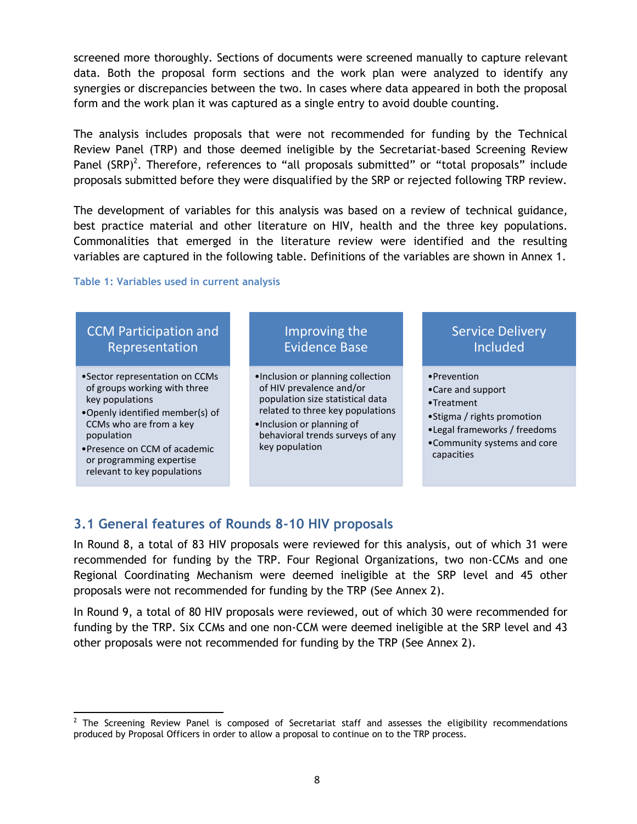screened more thoroughly. Sections of documents were screened manually to capture relevant data. Both the proposal form sections and the work plan were analyzed to identify any synergies or discrepancies between the two. In cases where data appeared in both the proposal form and the work plan it was captured as a single entry to avoid double counting.

The analysis includes proposals that were not recommended for funding by the Technical Review Panel (TRP) and those deemed ineligible by the Secretariat-based Screening Review Panel (SRP)<sup>2</sup>. Therefore, references to "all proposals submitted" or "total proposals" include proposals submitted before they were disqualified by the SRP or rejected following TRP review.

The development of variables for this analysis was based on a review of technical guidance, best practice material and other literature on HIV, health and the three key populations. Commonalities that emerged in the literature review were identified and the resulting variables are captured in the following table. Definitions of the variables are shown in Annex 1.

#### **Table 1: Variables used in current analysis**



#### <span id="page-7-0"></span>**3.1 General features of Rounds 8-10 HIV proposals**

In Round 8, a total of 83 HIV proposals were reviewed for this analysis, out of which 31 were recommended for funding by the TRP. Four Regional Organizations, two non-CCMs and one Regional Coordinating Mechanism were deemed ineligible at the SRP level and 45 other proposals were not recommended for funding by the TRP (See Annex 2).

In Round 9, a total of 80 HIV proposals were reviewed, out of which 30 were recommended for funding by the TRP. Six CCMs and one non-CCM were deemed ineligible at the SRP level and 43 other proposals were not recommended for funding by the TRP (See Annex 2).

 $\ddot{\phantom{a}}$  $2$  The Screening Review Panel is composed of Secretariat staff and assesses the eligibility recommendations produced by Proposal Officers in order to allow a proposal to continue on to the TRP process.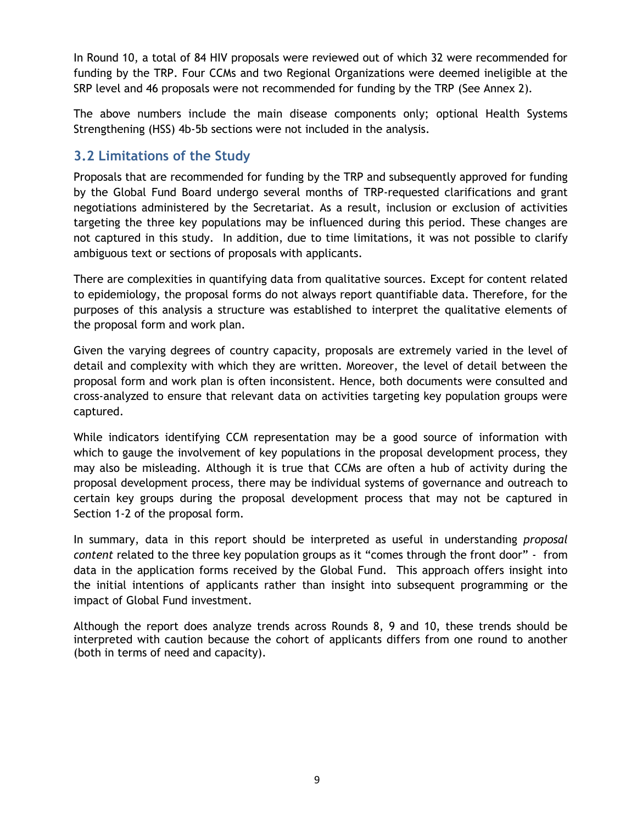In Round 10, a total of 84 HIV proposals were reviewed out of which 32 were recommended for funding by the TRP. Four CCMs and two Regional Organizations were deemed ineligible at the SRP level and 46 proposals were not recommended for funding by the TRP (See Annex 2).

The above numbers include the main disease components only; optional Health Systems Strengthening (HSS) 4b-5b sections were not included in the analysis.

#### <span id="page-8-0"></span>**3.2 Limitations of the Study**

Proposals that are recommended for funding by the TRP and subsequently approved for funding by the Global Fund Board undergo several months of TRP-requested clarifications and grant negotiations administered by the Secretariat. As a result, inclusion or exclusion of activities targeting the three key populations may be influenced during this period. These changes are not captured in this study. In addition, due to time limitations, it was not possible to clarify ambiguous text or sections of proposals with applicants.

There are complexities in quantifying data from qualitative sources. Except for content related to epidemiology, the proposal forms do not always report quantifiable data. Therefore, for the purposes of this analysis a structure was established to interpret the qualitative elements of the proposal form and work plan.

Given the varying degrees of country capacity, proposals are extremely varied in the level of detail and complexity with which they are written. Moreover, the level of detail between the proposal form and work plan is often inconsistent. Hence, both documents were consulted and cross-analyzed to ensure that relevant data on activities targeting key population groups were captured.

While indicators identifying CCM representation may be a good source of information with which to gauge the involvement of key populations in the proposal development process, they may also be misleading. Although it is true that CCMs are often a hub of activity during the proposal development process, there may be individual systems of governance and outreach to certain key groups during the proposal development process that may not be captured in Section 1-2 of the proposal form.

In summary, data in this report should be interpreted as useful in understanding *proposal content* related to the three key population groups as it "comes through the front door" - from data in the application forms received by the Global Fund. This approach offers insight into the initial intentions of applicants rather than insight into subsequent programming or the impact of Global Fund investment.

<span id="page-8-1"></span>Although the report does analyze trends across Rounds 8, 9 and 10, these trends should be interpreted with caution because the cohort of applicants differs from one round to another (both in terms of need and capacity).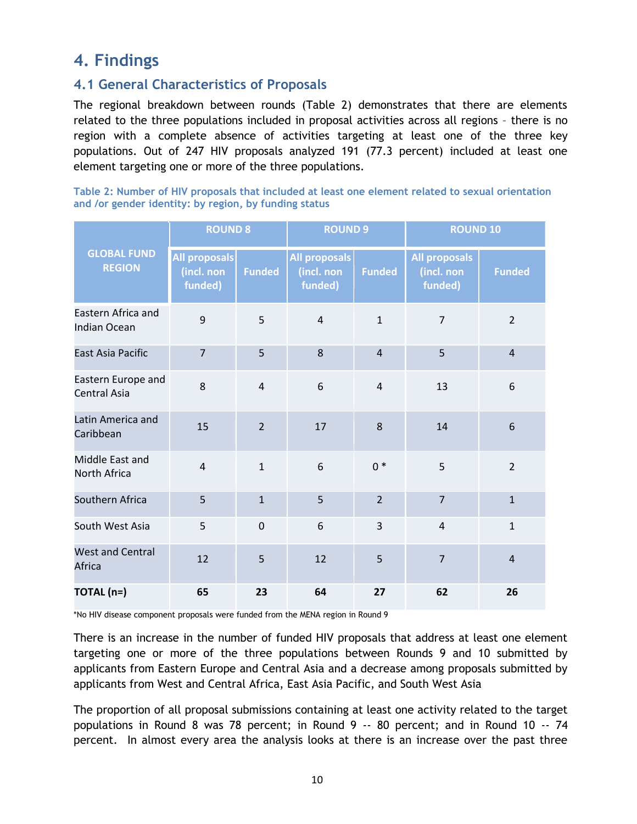## **4. Findings**

#### <span id="page-9-0"></span>**4.1 General Characteristics of Proposals**

The regional breakdown between rounds (Table 2) demonstrates that there are elements related to the three populations included in proposal activities across all regions – there is no region with a complete absence of activities targeting at least one of the three key populations. Out of 247 HIV proposals analyzed 191 (77.3 percent) included at least one element targeting one or more of the three populations.

**Table 2: Number of HIV proposals that included at least one element related to sexual orientation and /or gender identity: by region, by funding status**

| <b>GLOBAL FUND</b><br><b>REGION</b>       | <b>ROUND 8</b>                                |                | <b>ROUND 9</b>                                |                | <b>ROUND 10</b>                               |                  |
|-------------------------------------------|-----------------------------------------------|----------------|-----------------------------------------------|----------------|-----------------------------------------------|------------------|
|                                           | <b>All proposals</b><br>(incl. non<br>funded) | <b>Funded</b>  | <b>All proposals</b><br>(incl. non<br>funded) | <b>Funded</b>  | <b>All proposals</b><br>(incl. non<br>funded) | <b>Funded</b>    |
| Eastern Africa and<br><b>Indian Ocean</b> | 9                                             | 5              | $\overline{4}$                                | $\mathbf{1}$   | $\overline{7}$                                | $\overline{2}$   |
| East Asia Pacific                         | $\overline{7}$                                | 5              | 8                                             | $\overline{4}$ | 5                                             | $\overline{4}$   |
| Eastern Europe and<br><b>Central Asia</b> | 8                                             | $\overline{4}$ | 6                                             | $\overline{4}$ | 13                                            | $\boldsymbol{6}$ |
| Latin America and<br>Caribbean            | 15                                            | $\overline{2}$ | 17                                            | 8              | 14                                            | 6                |
| Middle East and<br>North Africa           | $\overline{4}$                                | $\mathbf{1}$   | 6                                             | $0*$           | 5                                             | $\overline{2}$   |
| Southern Africa                           | 5                                             | $\mathbf{1}$   | 5                                             | $\overline{2}$ | $\overline{7}$                                | $\mathbf{1}$     |
| South West Asia                           | 5                                             | $\overline{0}$ | 6                                             | 3              | $\overline{4}$                                | $\mathbf{1}$     |
| <b>West and Central</b><br>Africa         | 12                                            | 5              | 12                                            | 5              | $\overline{7}$                                | $\overline{4}$   |
| TOTAL (n=)                                | 65                                            | 23             | 64                                            | 27             | 62                                            | 26               |

\*No HIV disease component proposals were funded from the MENA region in Round 9

There is an increase in the number of funded HIV proposals that address at least one element targeting one or more of the three populations between Rounds 9 and 10 submitted by applicants from Eastern Europe and Central Asia and a decrease among proposals submitted by applicants from West and Central Africa, East Asia Pacific, and South West Asia

The proportion of all proposal submissions containing at least one activity related to the target populations in Round 8 was 78 percent; in Round 9 -- 80 percent; and in Round 10 -- 74 percent. In almost every area the analysis looks at there is an increase over the past three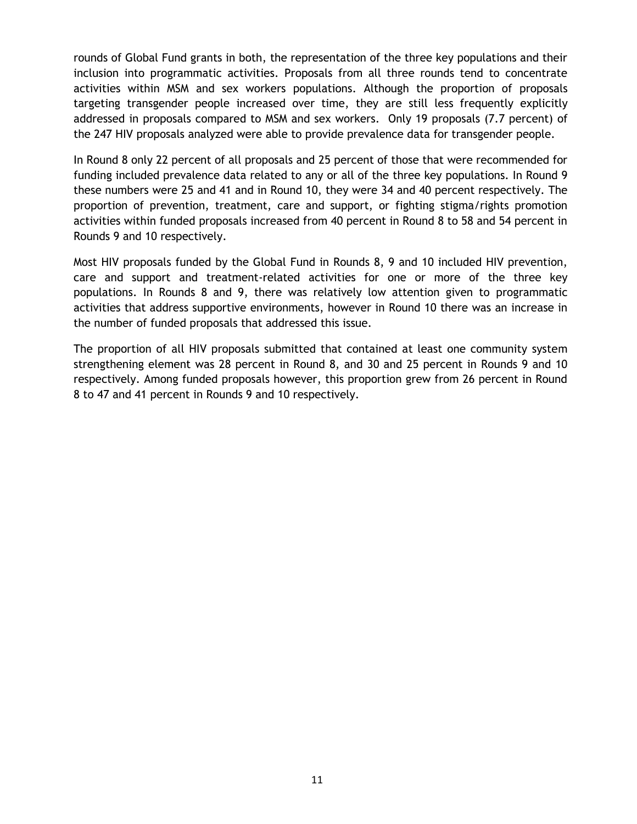rounds of Global Fund grants in both, the representation of the three key populations and their inclusion into programmatic activities. Proposals from all three rounds tend to concentrate activities within MSM and sex workers populations. Although the proportion of proposals targeting transgender people increased over time, they are still less frequently explicitly addressed in proposals compared to MSM and sex workers. Only 19 proposals (7.7 percent) of the 247 HIV proposals analyzed were able to provide prevalence data for transgender people.

In Round 8 only 22 percent of all proposals and 25 percent of those that were recommended for funding included prevalence data related to any or all of the three key populations. In Round 9 these numbers were 25 and 41 and in Round 10, they were 34 and 40 percent respectively. The proportion of prevention, treatment, care and support, or fighting stigma/rights promotion activities within funded proposals increased from 40 percent in Round 8 to 58 and 54 percent in Rounds 9 and 10 respectively.

Most HIV proposals funded by the Global Fund in Rounds 8, 9 and 10 included HIV prevention, care and support and treatment-related activities for one or more of the three key populations. In Rounds 8 and 9, there was relatively low attention given to programmatic activities that address supportive environments, however in Round 10 there was an increase in the number of funded proposals that addressed this issue.

<span id="page-10-0"></span>The proportion of all HIV proposals submitted that contained at least one community system strengthening element was 28 percent in Round 8, and 30 and 25 percent in Rounds 9 and 10 respectively. Among funded proposals however, this proportion grew from 26 percent in Round 8 to 47 and 41 percent in Rounds 9 and 10 respectively.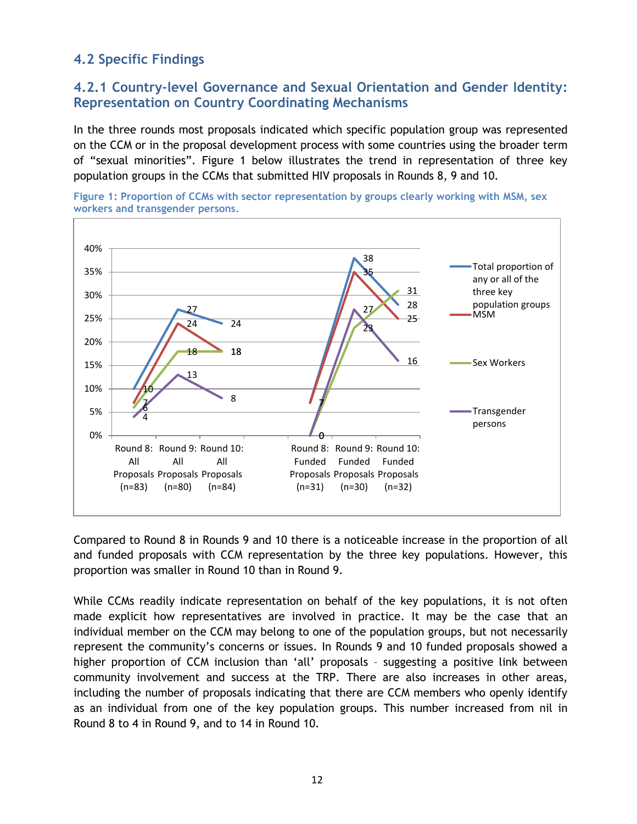### **4.2 Specific Findings**

#### <span id="page-11-0"></span>**4.2.1 Country-level Governance and Sexual Orientation and Gender Identity: Representation on Country Coordinating Mechanisms**

In the three rounds most proposals indicated which specific population group was represented on the CCM or in the proposal development process with some countries using the broader term of "sexual minorities". Figure 1 below illustrates the trend in representation of three key population groups in the CCMs that submitted HIV proposals in Rounds 8, 9 and 10.



**Figure 1: Proportion of CCMs with sector representation by groups clearly working with MSM, sex workers and transgender persons.** 

Compared to Round 8 in Rounds 9 and 10 there is a noticeable increase in the proportion of all and funded proposals with CCM representation by the three key populations. However, this proportion was smaller in Round 10 than in Round 9.

While CCMs readily indicate representation on behalf of the key populations, it is not often made explicit how representatives are involved in practice. It may be the case that an individual member on the CCM may belong to one of the population groups, but not necessarily represent the community's concerns or issues. In Rounds 9 and 10 funded proposals showed a higher proportion of CCM inclusion than 'all' proposals - suggesting a positive link between community involvement and success at the TRP. There are also increases in other areas, including the number of proposals indicating that there are CCM members who openly identify as an individual from one of the key population groups. This number increased from nil in Round 8 to 4 in Round 9, and to 14 in Round 10.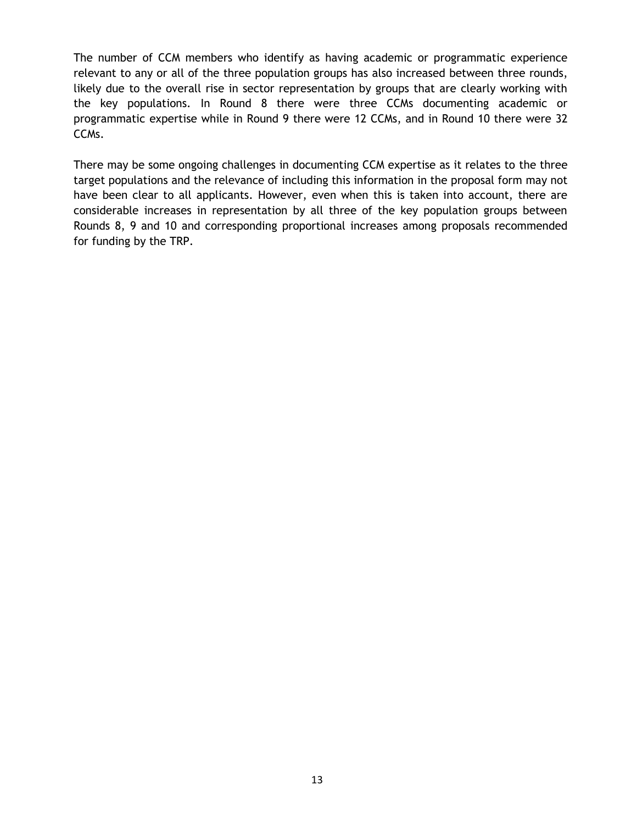The number of CCM members who identify as having academic or programmatic experience relevant to any or all of the three population groups has also increased between three rounds, likely due to the overall rise in sector representation by groups that are clearly working with the key populations. In Round 8 there were three CCMs documenting academic or programmatic expertise while in Round 9 there were 12 CCMs, and in Round 10 there were 32 CCMs.

There may be some ongoing challenges in documenting CCM expertise as it relates to the three target populations and the relevance of including this information in the proposal form may not have been clear to all applicants. However, even when this is taken into account, there are considerable increases in representation by all three of the key population groups between Rounds 8, 9 and 10 and corresponding proportional increases among proposals recommended for funding by the TRP.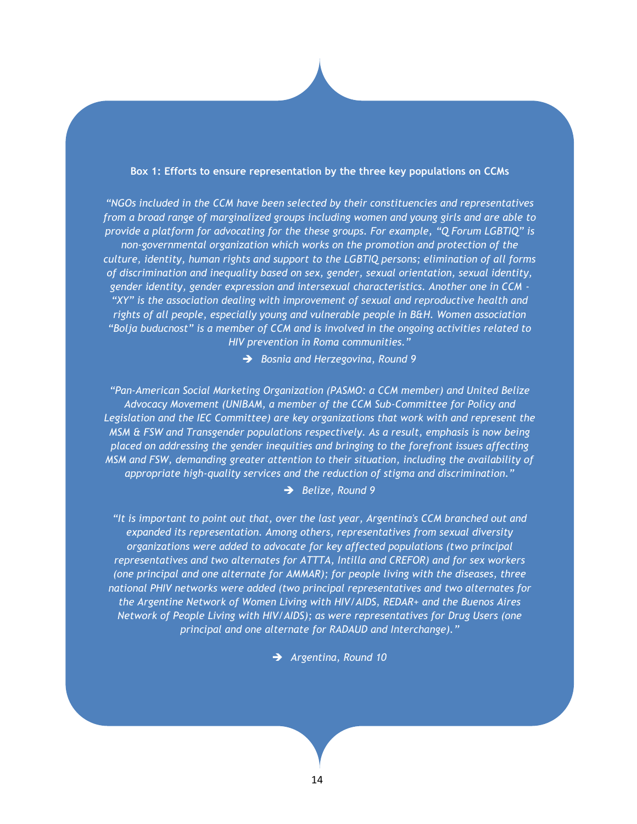#### **Box 1: Efforts to ensure representation by the three key populations on CCMs**

*"NGOs included in the CCM have been selected by their constituencies and representatives from a broad range of marginalized groups including women and young girls and are able to provide a platform for advocating for the these groups. For example, "Q Forum LGBTIQ" is non-governmental organization which works on the promotion and protection of the culture, identity, human rights and support to the LGBTIQ persons; elimination of all forms of discrimination and inequality based on sex, gender, sexual orientation, sexual identity, gender identity, gender expression and intersexual characteristics. Another one in CCM - "XY" is the association dealing with improvement of sexual and reproductive health and rights of all people, especially young and vulnerable people in B&H. Women association "Bolja buducnost" is a member of CCM and is involved in the ongoing activities related to HIV prevention in Roma communities."*

*Bosnia and Herzegovina, Round 9* 

*"Pan-American Social Marketing Organization (PASMO: a CCM member) and United Belize Advocacy Movement (UNIBAM, a member of the CCM Sub-Committee for Policy and Legislation and the IEC Committee) are key organizations that work with and represent the MSM & FSW and Transgender populations respectively. As a result, emphasis is now being placed on addressing the gender inequities and bringing to the forefront issues affecting MSM and FSW, demanding greater attention to their situation, including the availability of appropriate high-quality services and the reduction of stigma and discrimination."*

#### *Belize, Round 9*

*"It is important to point out that, over the last year, Argentina's CCM branched out and expanded its representation. Among others, representatives from sexual diversity organizations were added to advocate for key affected populations (two principal representatives and two alternates for ATTTA, Intilla and CREFOR) and for sex workers (one principal and one alternate for AMMAR); for people living with the diseases, three national PHIV networks were added (two principal representatives and two alternates for the Argentine Network of Women Living with HIV/AIDS, REDAR+ and the Buenos Aires Network of People Living with HIV/AIDS); as were representatives for Drug Users (one principal and one alternate for RADAUD and Interchange)."*

*Argentina, Round 10*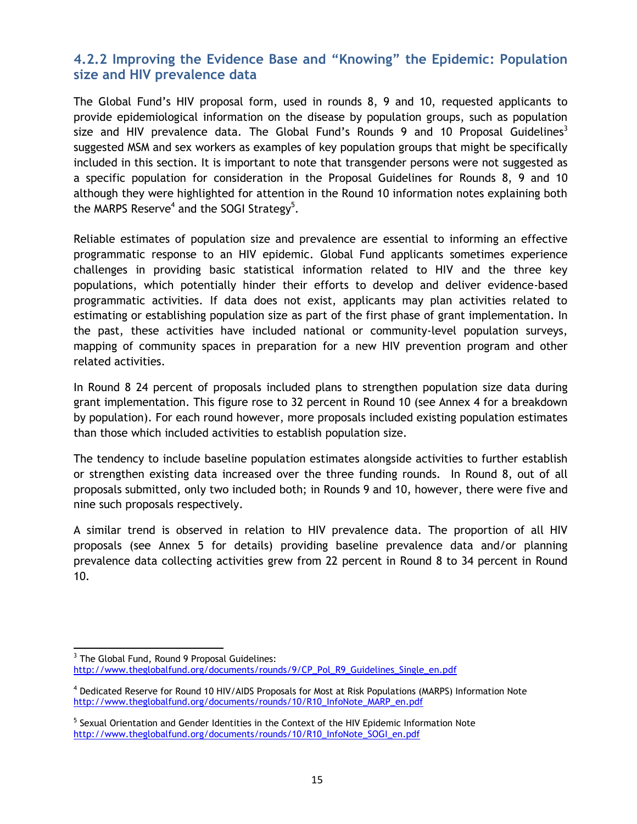#### <span id="page-14-0"></span>**4.2.2 Improving the Evidence Base and "Knowing" the Epidemic: Population size and HIV prevalence data**

The Global Fund"s HIV proposal form, used in rounds 8, 9 and 10, requested applicants to provide epidemiological information on the disease by population groups, such as population size and HIV prevalence data. The Global Fund's Rounds 9 and 10 Proposal Guidelines<sup>3</sup> suggested MSM and sex workers as examples of key population groups that might be specifically included in this section. It is important to note that transgender persons were not suggested as a specific population for consideration in the Proposal Guidelines for Rounds 8, 9 and 10 although they were highlighted for attention in the Round 10 information notes explaining both the MARPS Reserve<sup>4</sup> and the SOGI Strategy<sup>5</sup>.

Reliable estimates of population size and prevalence are essential to informing an effective programmatic response to an HIV epidemic. Global Fund applicants sometimes experience challenges in providing basic statistical information related to HIV and the three key populations, which potentially hinder their efforts to develop and deliver evidence-based programmatic activities. If data does not exist, applicants may plan activities related to estimating or establishing population size as part of the first phase of grant implementation. In the past, these activities have included national or community-level population surveys, mapping of community spaces in preparation for a new HIV prevention program and other related activities.

In Round 8 24 percent of proposals included plans to strengthen population size data during grant implementation. This figure rose to 32 percent in Round 10 (see Annex 4 for a breakdown by population). For each round however, more proposals included existing population estimates than those which included activities to establish population size.

The tendency to include baseline population estimates alongside activities to further establish or strengthen existing data increased over the three funding rounds. In Round 8, out of all proposals submitted, only two included both; in Rounds 9 and 10, however, there were five and nine such proposals respectively.

A similar trend is observed in relation to HIV prevalence data. The proportion of all HIV proposals (see Annex 5 for details) providing baseline prevalence data and/or planning prevalence data collecting activities grew from 22 percent in Round 8 to 34 percent in Round 10.

 3 The Global Fund, Round 9 Proposal Guidelines: [http://www.theglobalfund.org/documents/rounds/9/CP\\_Pol\\_R9\\_Guidelines\\_Single\\_en.pdf](http://www.theglobalfund.org/documents/rounds/9/CP_Pol_R9_Guidelines_Single_en.pdf)

<sup>4</sup> Dedicated Reserve for Round 10 HIV/AIDS Proposals for Most at Risk Populations (MARPS) Information Note [http://www.theglobalfund.org/documents/rounds/10/R10\\_InfoNote\\_MARP\\_en.pdf](http://www.theglobalfund.org/documents/rounds/10/R10_InfoNote_MARP_en.pdf)

<sup>&</sup>lt;sup>5</sup> Sexual Orientation and Gender Identities in the Context of the HIV Epidemic Information Note [http://www.theglobalfund.org/documents/rounds/10/R10\\_InfoNote\\_SOGI\\_en.pdf](http://www.theglobalfund.org/documents/rounds/10/R10_InfoNote_SOGI_en.pdf)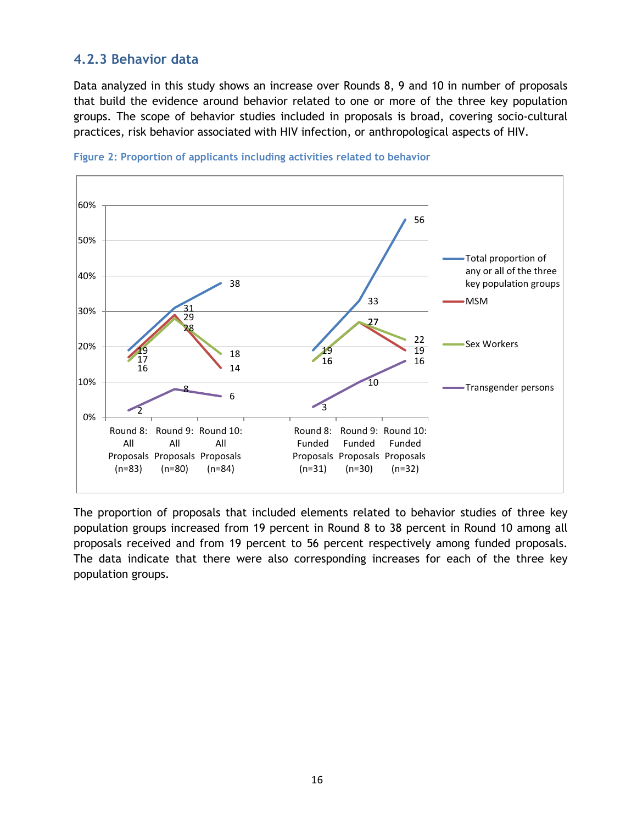#### <span id="page-15-0"></span>**4.2.3 Behavior data**

Data analyzed in this study shows an increase over Rounds 8, 9 and 10 in number of proposals that build the evidence around behavior related to one or more of the three key population groups. The scope of behavior studies included in proposals is broad, covering socio-cultural practices, risk behavior associated with HIV infection, or anthropological aspects of HIV.





The proportion of proposals that included elements related to behavior studies of three key population groups increased from 19 percent in Round 8 to 38 percent in Round 10 among all proposals received and from 19 percent to 56 percent respectively among funded proposals. The data indicate that there were also corresponding increases for each of the three key population groups.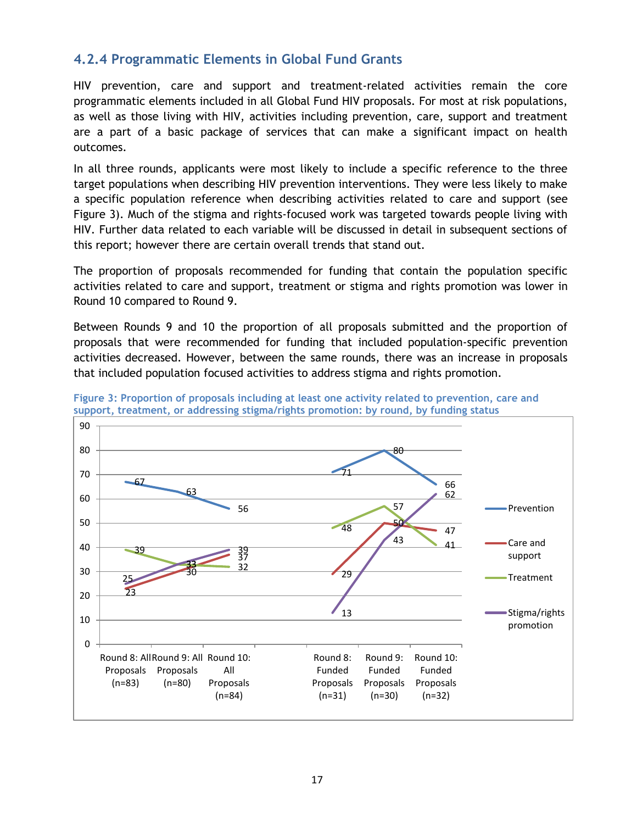### <span id="page-16-0"></span>**4.2.4 Programmatic Elements in Global Fund Grants**

HIV prevention, care and support and treatment-related activities remain the core programmatic elements included in all Global Fund HIV proposals. For most at risk populations, as well as those living with HIV, activities including prevention, care, support and treatment are a part of a basic package of services that can make a significant impact on health outcomes.

In all three rounds, applicants were most likely to include a specific reference to the three target populations when describing HIV prevention interventions. They were less likely to make a specific population reference when describing activities related to care and support (see Figure 3). Much of the stigma and rights-focused work was targeted towards people living with HIV. Further data related to each variable will be discussed in detail in subsequent sections of this report; however there are certain overall trends that stand out.

The proportion of proposals recommended for funding that contain the population specific activities related to care and support, treatment or stigma and rights promotion was lower in Round 10 compared to Round 9.

Between Rounds 9 and 10 the proportion of all proposals submitted and the proportion of proposals that were recommended for funding that included population-specific prevention activities decreased. However, between the same rounds, there was an increase in proposals that included population focused activities to address stigma and rights promotion.



**Figure 3: Proportion of proposals including at least one activity related to prevention, care and support, treatment, or addressing stigma/rights promotion: by round, by funding status**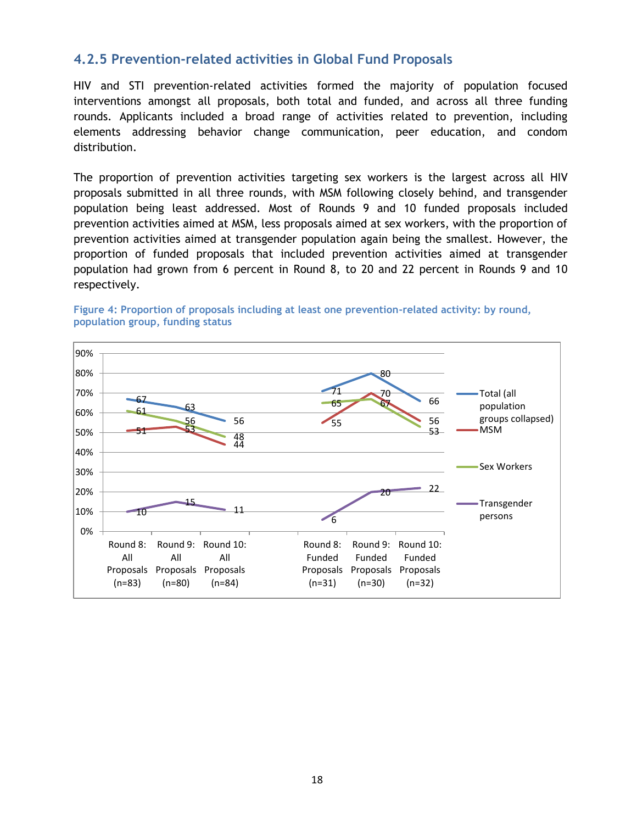#### <span id="page-17-0"></span>**4.2.5 Prevention-related activities in Global Fund Proposals**

HIV and STI prevention-related activities formed the majority of population focused interventions amongst all proposals, both total and funded, and across all three funding rounds. Applicants included a broad range of activities related to prevention, including elements addressing behavior change communication, peer education, and condom distribution.

The proportion of prevention activities targeting sex workers is the largest across all HIV proposals submitted in all three rounds, with MSM following closely behind, and transgender population being least addressed. Most of Rounds 9 and 10 funded proposals included prevention activities aimed at MSM, less proposals aimed at sex workers, with the proportion of prevention activities aimed at transgender population again being the smallest. However, the proportion of funded proposals that included prevention activities aimed at transgender population had grown from 6 percent in Round 8, to 20 and 22 percent in Rounds 9 and 10 respectively.



**Figure 4: Proportion of proposals including at least one prevention-related activity: by round, population group, funding status**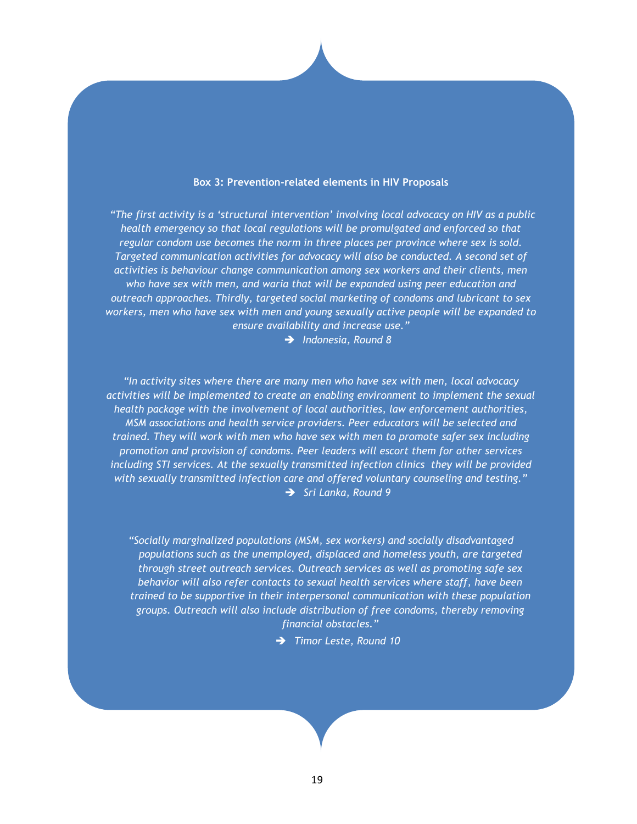#### **Box 3: Prevention-related elements in HIV Proposals**

*"The first activity is a "structural intervention" involving local advocacy on HIV as a public health emergency so that local regulations will be promulgated and enforced so that regular condom use becomes the norm in three places per province where sex is sold. Targeted communication activities for advocacy will also be conducted. A second set of activities is behaviour change communication among sex workers and their clients, men who have sex with men, and waria that will be expanded using peer education and outreach approaches. Thirdly, targeted social marketing of condoms and lubricant to sex workers, men who have sex with men and young sexually active people will be expanded to ensure availability and increase use."*

*Indonesia, Round 8*

*"In activity sites where there are many men who have sex with men, local advocacy activities will be implemented to create an enabling environment to implement the sexual health package with the involvement of local authorities, law enforcement authorities, MSM associations and health service providers. Peer educators will be selected and trained. They will work with men who have sex with men to promote safer sex including promotion and provision of condoms. Peer leaders will escort them for other services including STI services. At the sexually transmitted infection clinics they will be provided with sexually transmitted infection care and offered voluntary counseling and testing." Sri Lanka, Round 9*

*"Socially marginalized populations (MSM, sex workers) and socially disadvantaged populations such as the unemployed, displaced and homeless youth, are targeted through street outreach services. Outreach services as well as promoting safe sex behavior will also refer contacts to sexual health services where staff, have been trained to be supportive in their interpersonal communication with these population groups. Outreach will also include distribution of free condoms, thereby removing financial obstacles."*

*Timor Leste, Round 10*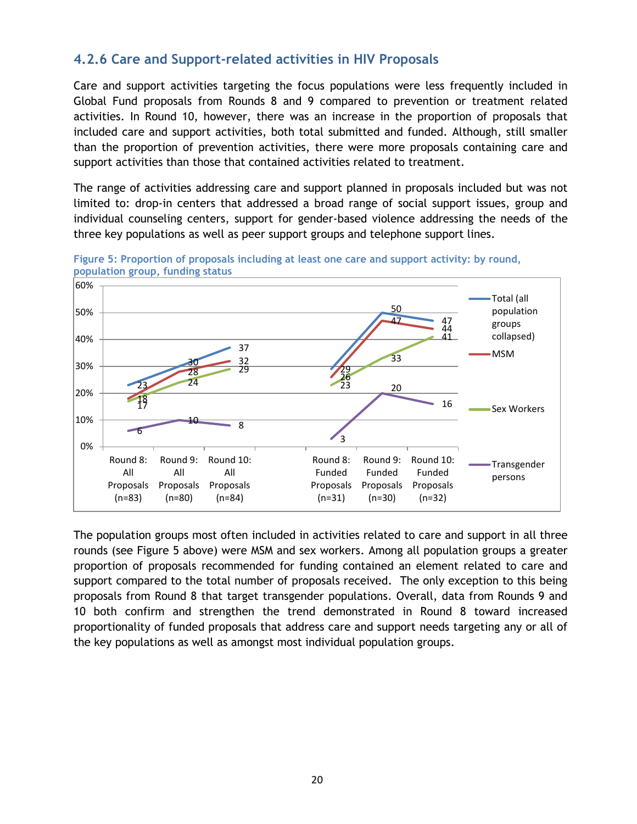### <span id="page-19-0"></span>**4.2.6 Care and Support-related activities in HIV Proposals**

Care and support activities targeting the focus populations were less frequently included in Global Fund proposals from Rounds 8 and 9 compared to prevention or treatment related activities. In Round 10, however, there was an increase in the proportion of proposals that included care and support activities, both total submitted and funded. Although, still smaller than the proportion of prevention activities, there were more proposals containing care and support activities than those that contained activities related to treatment.

The range of activities addressing care and support planned in proposals included but was not limited to: drop-in centers that addressed a broad range of social support issues, group and individual counseling centers, support for gender-based violence addressing the needs of the three key populations as well as peer support groups and telephone support lines.



**Figure 5: Proportion of proposals including at least one care and support activity: by round, population group, funding status**

The population groups most often included in activities related to care and support in all three rounds (see Figure 5 above) were MSM and sex workers. Among all population groups a greater proportion of proposals recommended for funding contained an element related to care and support compared to the total number of proposals received. The only exception to this being proposals from Round 8 that target transgender populations. Overall, data from Rounds 9 and 10 both confirm and strengthen the trend demonstrated in Round 8 toward increased proportionality of funded proposals that address care and support needs targeting any or all of the key populations as well as amongst most individual population groups.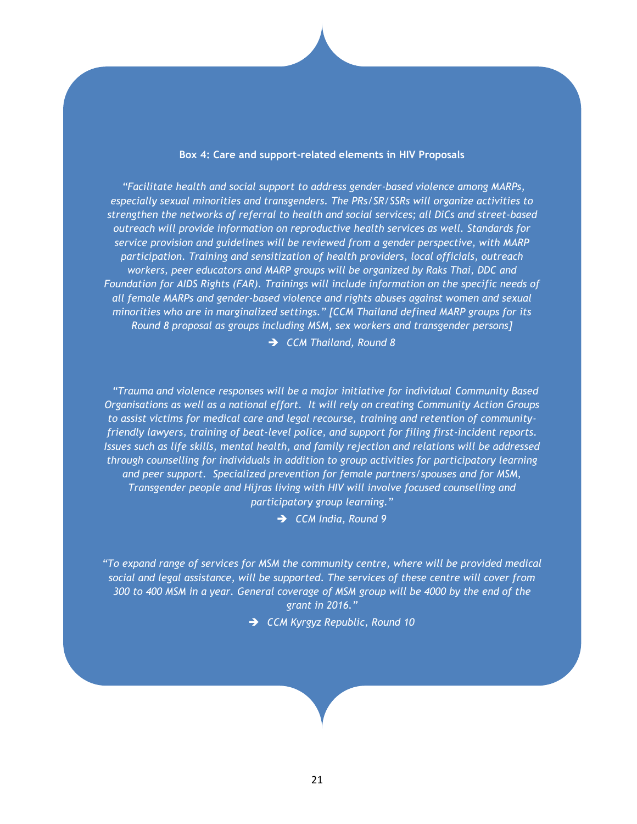#### **Box 4: Care and support-related elements in HIV Proposals**

*"Facilitate health and social support to address gender-based violence among MARPs, especially sexual minorities and transgenders. The PRs/SR/SSRs will organize activities to strengthen the networks of referral to health and social services; all DiCs and street-based outreach will provide information on reproductive health services as well. Standards for service provision and guidelines will be reviewed from a gender perspective, with MARP participation. Training and sensitization of health providers, local officials, outreach workers, peer educators and MARP groups will be organized by Raks Thai, DDC and Foundation for AIDS Rights (FAR). Trainings will include information on the specific needs of all female MARPs and gender-based violence and rights abuses against women and sexual minorities who are in marginalized settings." [CCM Thailand defined MARP groups for its Round 8 proposal as groups including MSM, sex workers and transgender persons]*

*CCM Thailand, Round 8* 

*"Trauma and violence responses will be a major initiative for individual Community Based Organisations as well as a national effort. It will rely on creating Community Action Groups to assist victims for medical care and legal recourse, training and retention of communityfriendly lawyers, training of beat-level police, and support for filing first-incident reports. Issues such as life skills, mental health, and family rejection and relations will be addressed through counselling for individuals in addition to group activities for participatory learning and peer support. Specialized prevention for female partners/spouses and for MSM, Transgender people and Hijras living with HIV will involve focused counselling and participatory group learning."*

*CCM India, Round 9* 

*"To expand range of services for MSM the community centre, where will be provided medical social and legal assistance, will be supported. The services of these centre will cover from 300 to 400 MSM in a year. General coverage of MSM group will be 4000 by the end of the grant in 2016."*

*CCM Kyrgyz Republic, Round 10*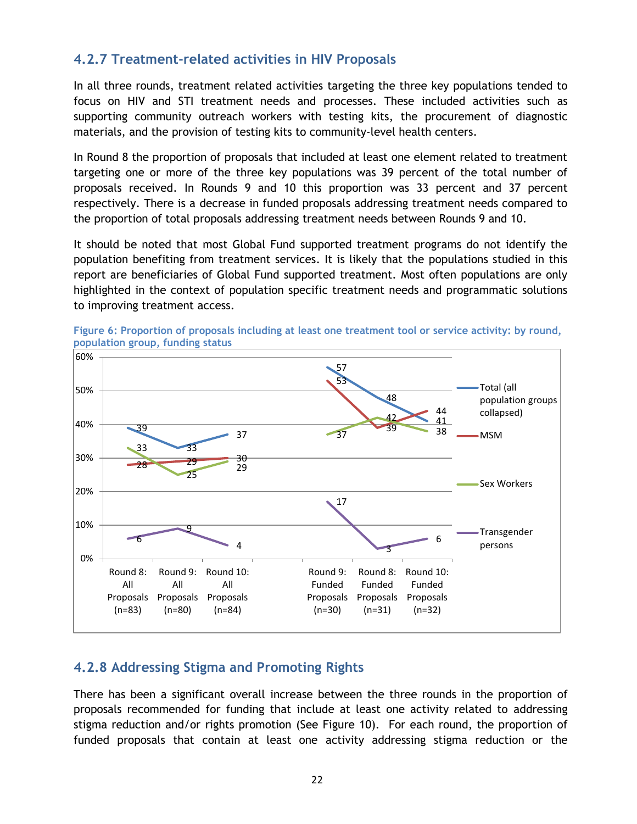### <span id="page-21-0"></span>**4.2.7 Treatment-related activities in HIV Proposals**

In all three rounds, treatment related activities targeting the three key populations tended to focus on HIV and STI treatment needs and processes. These included activities such as supporting community outreach workers with testing kits, the procurement of diagnostic materials, and the provision of testing kits to community-level health centers.

In Round 8 the proportion of proposals that included at least one element related to treatment targeting one or more of the three key populations was 39 percent of the total number of proposals received. In Rounds 9 and 10 this proportion was 33 percent and 37 percent respectively. There is a decrease in funded proposals addressing treatment needs compared to the proportion of total proposals addressing treatment needs between Rounds 9 and 10.

It should be noted that most Global Fund supported treatment programs do not identify the population benefiting from treatment services. It is likely that the populations studied in this report are beneficiaries of Global Fund supported treatment. Most often populations are only highlighted in the context of population specific treatment needs and programmatic solutions to improving treatment access.



**Figure 6: Proportion of proposals including at least one treatment tool or service activity: by round, population group, funding status** 

### <span id="page-21-1"></span>**4.2.8 Addressing Stigma and Promoting Rights**

There has been a significant overall increase between the three rounds in the proportion of proposals recommended for funding that include at least one activity related to addressing stigma reduction and/or rights promotion (See Figure 10). For each round, the proportion of funded proposals that contain at least one activity addressing stigma reduction or the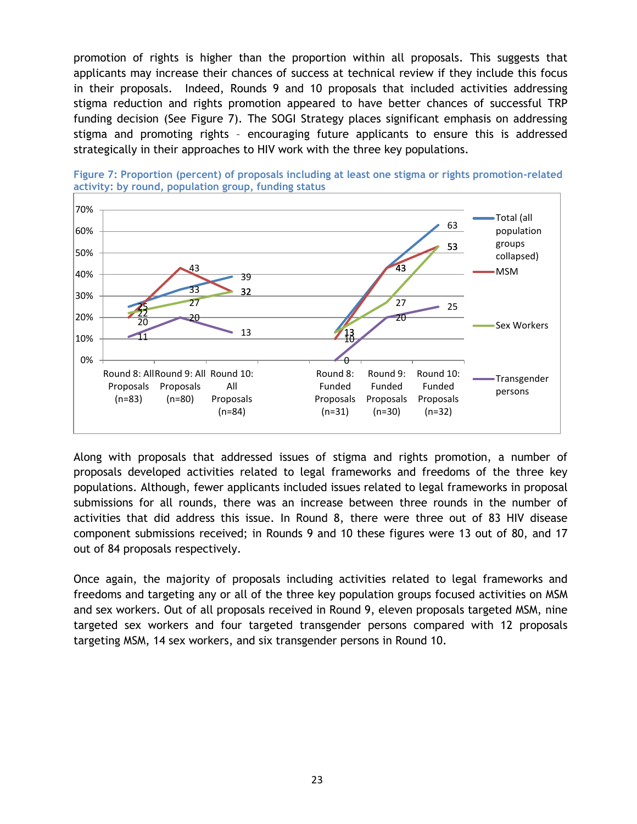promotion of rights is higher than the proportion within all proposals. This suggests that applicants may increase their chances of success at technical review if they include this focus in their proposals. Indeed, Rounds 9 and 10 proposals that included activities addressing stigma reduction and rights promotion appeared to have better chances of successful TRP funding decision (See Figure 7). The SOGI Strategy places significant emphasis on addressing stigma and promoting rights – encouraging future applicants to ensure this is addressed strategically in their approaches to HIV work with the three key populations.





Along with proposals that addressed issues of stigma and rights promotion, a number of proposals developed activities related to legal frameworks and freedoms of the three key populations. Although, fewer applicants included issues related to legal frameworks in proposal submissions for all rounds, there was an increase between three rounds in the number of activities that did address this issue. In Round 8, there were three out of 83 HIV disease component submissions received; in Rounds 9 and 10 these figures were 13 out of 80, and 17 out of 84 proposals respectively.

Once again, the majority of proposals including activities related to legal frameworks and freedoms and targeting any or all of the three key population groups focused activities on MSM and sex workers. Out of all proposals received in Round 9, eleven proposals targeted MSM, nine targeted sex workers and four targeted transgender persons compared with 12 proposals targeting MSM, 14 sex workers, and six transgender persons in Round 10.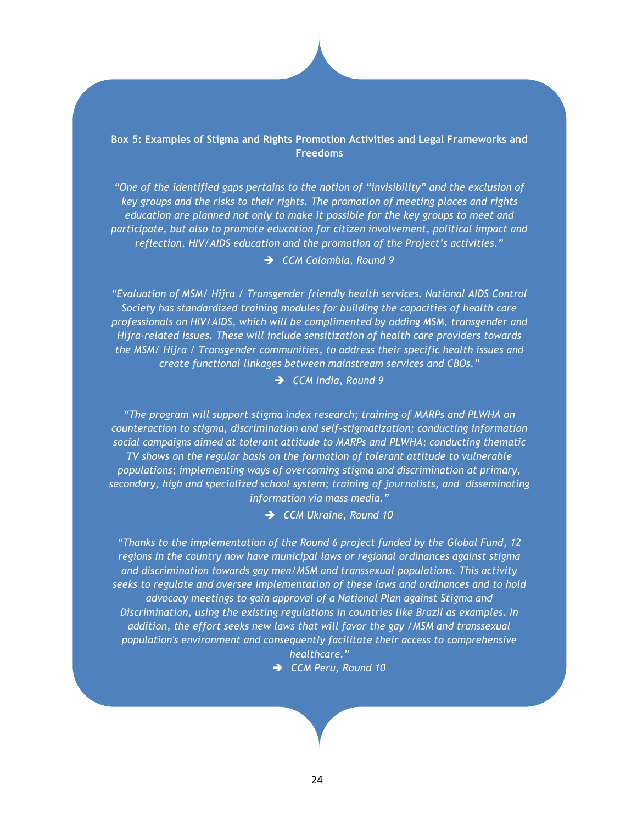#### **Box 5: Examples of Stigma and Rights Promotion Activities and Legal Frameworks and Freedoms**

*"One of the identified gaps pertains to the notion of "invisibility" and the exclusion of key groups and the risks to their rights. The promotion of meeting places and rights education are planned not only to make it possible for the key groups to meet and participate, but also to promote education for citizen involvement, political impact and reflection, HIV/AIDS education and the promotion of the Project"s activities."*

*CCM Colombia, Round 9*

*"Evaluation of MSM/ Hijra / Transgender friendly health services. National AIDS Control Society has standardized training modules for building the capacities of health care professionals on HIV/AIDS, which will be complimented by adding MSM, transgender and Hijra-related issues. These will include sensitization of health care providers towards the MSM/ Hijra / Transgender communities, to address their specific health issues and create functional linkages between mainstream services and CBOs."*

*CCM India, Round 9*

*"The program will support stigma index research; training of MARPs and PLWHA on counteraction to stigma, discrimination and self-stigmatization; conducting information social campaigns aimed at tolerant attitude to MARPs and PLWHA; conducting thematic TV shows on the regular basis on the formation of tolerant attitude to vulnerable populations; implementing ways of overcoming stigma and discrimination at primary, secondary, high and specialized school system; training of journalists, and disseminating information via mass media."*

*CCM Ukraine, Round 10*

*"Thanks to the implementation of the Round 6 project funded by the Global Fund, 12 regions in the country now have municipal laws or regional ordinances against stigma and discrimination towards gay men/MSM and transsexual populations. This activity seeks to regulate and oversee implementation of these laws and ordinances and to hold advocacy meetings to gain approval of a National Plan against Stigma and Discrimination, using the existing regulations in countries like Brazil as examples. In addition, the effort seeks new laws that will favor the gay /MSM and transsexual population's environment and consequently facilitate their access to comprehensive healthcare."*

*CCM Peru, Round 10*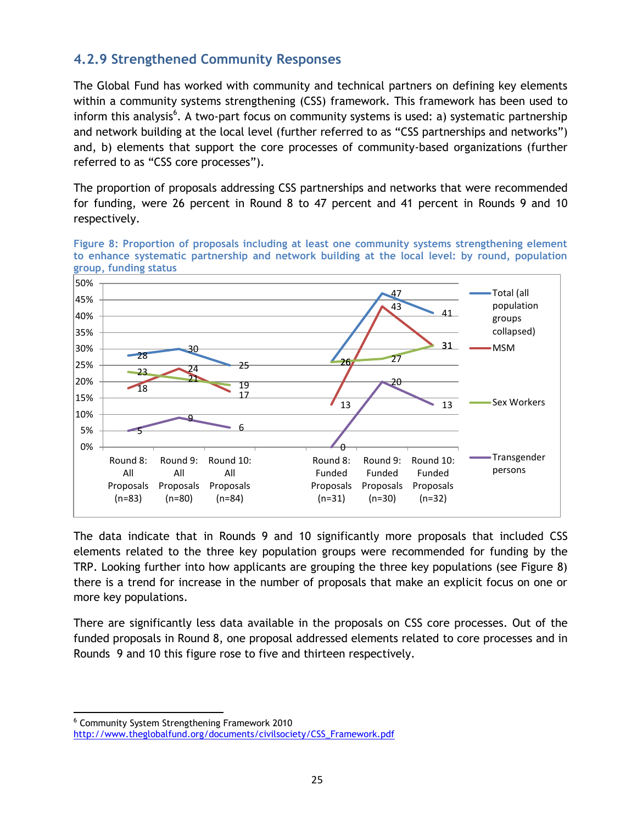### <span id="page-24-0"></span>**4.2.9 Strengthened Community Responses**

The Global Fund has worked with community and technical partners on defining key elements within a community systems strengthening (CSS) framework. This framework has been used to inform this analysis<sup>6</sup>. A two-part focus on community systems is used: a) systematic partnership and network building at the local level (further referred to as "CSS partnerships and networks") and, b) elements that support the core processes of community-based organizations (further referred to as "CSS core processes").

The proportion of proposals addressing CSS partnerships and networks that were recommended for funding, were 26 percent in Round 8 to 47 percent and 41 percent in Rounds 9 and 10 respectively.

**Figure 8: Proportion of proposals including at least one community systems strengthening element to enhance systematic partnership and network building at the local level: by round, population group, funding status** 



The data indicate that in Rounds 9 and 10 significantly more proposals that included CSS elements related to the three key population groups were recommended for funding by the TRP. Looking further into how applicants are grouping the three key populations (see Figure 8) there is a trend for increase in the number of proposals that make an explicit focus on one or more key populations.

There are significantly less data available in the proposals on CSS core processes. Out of the funded proposals in Round 8, one proposal addressed elements related to core processes and in Rounds 9 and 10 this figure rose to five and thirteen respectively.

 $\ddot{\phantom{a}}$ <sup>6</sup> Community System Strengthening Framework 2010

[http://www.theglobalfund.org/documents/civilsociety/CSS\\_Framework.pdf](http://www.theglobalfund.org/documents/civilsociety/CSS_Framework.pdf)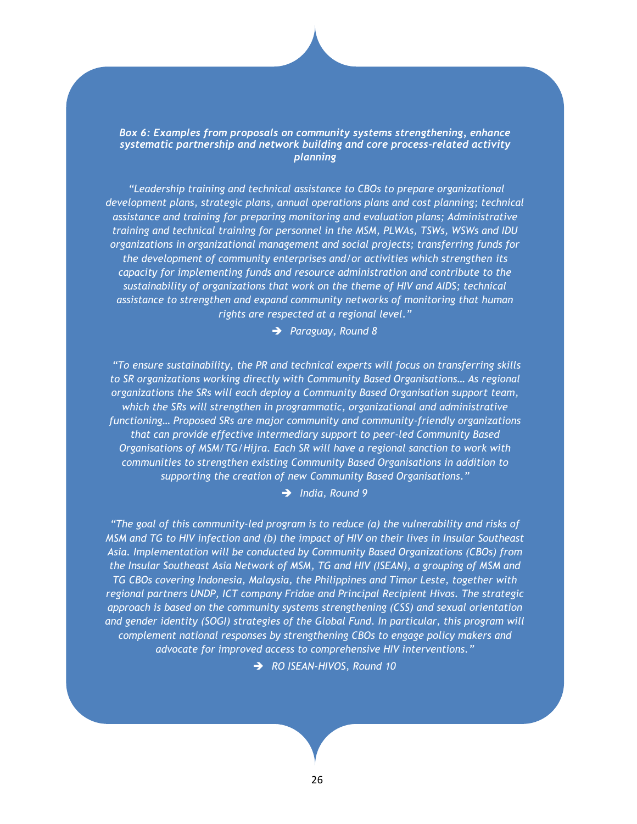#### *Box 6: Examples from proposals on community systems strengthening, enhance systematic partnership and network building and core process-related activity planning*

*"Leadership training and technical assistance to CBOs to prepare organizational development plans, strategic plans, annual operations plans and cost planning; technical assistance and training for preparing monitoring and evaluation plans; Administrative training and technical training for personnel in the MSM, PLWAs, TSWs, WSWs and IDU organizations in organizational management and social projects; transferring funds for the development of community enterprises and/or activities which strengthen its capacity for implementing funds and resource administration and contribute to the sustainability of organizations that work on the theme of HIV and AIDS; technical assistance to strengthen and expand community networks of monitoring that human rights are respected at a regional level."*

*Paraguay, Round 8*

*"To ensure sustainability, the PR and technical experts will focus on transferring skills to SR organizations working directly with Community Based Organisations… As regional organizations the SRs will each deploy a Community Based Organisation support team, which the SRs will strengthen in programmatic, organizational and administrative functioning… Proposed SRs are major community and community-friendly organizations that can provide effective intermediary support to peer-led Community Based Organisations of MSM/TG/Hijra. Each SR will have a regional sanction to work with communities to strengthen existing Community Based Organisations in addition to supporting the creation of new Community Based Organisations."*

→ *India, Round 9* 

*"The goal of this community-led program is to reduce (a) the vulnerability and risks of MSM and TG to HIV infection and (b) the impact of HIV on their lives in Insular Southeast Asia. Implementation will be conducted by Community Based Organizations (CBOs) from the Insular Southeast Asia Network of MSM, TG and HIV (ISEAN), a grouping of MSM and TG CBOs covering Indonesia, Malaysia, the Philippines and Timor Leste, together with regional partners UNDP, ICT company Fridae and Principal Recipient Hivos. The strategic approach is based on the community systems strengthening (CSS) and sexual orientation and gender identity (SOGI) strategies of the Global Fund. In particular, this program will complement national responses by strengthening CBOs to engage policy makers and advocate for improved access to comprehensive HIV interventions."*

*RO ISEAN-HIVOS, Round 10*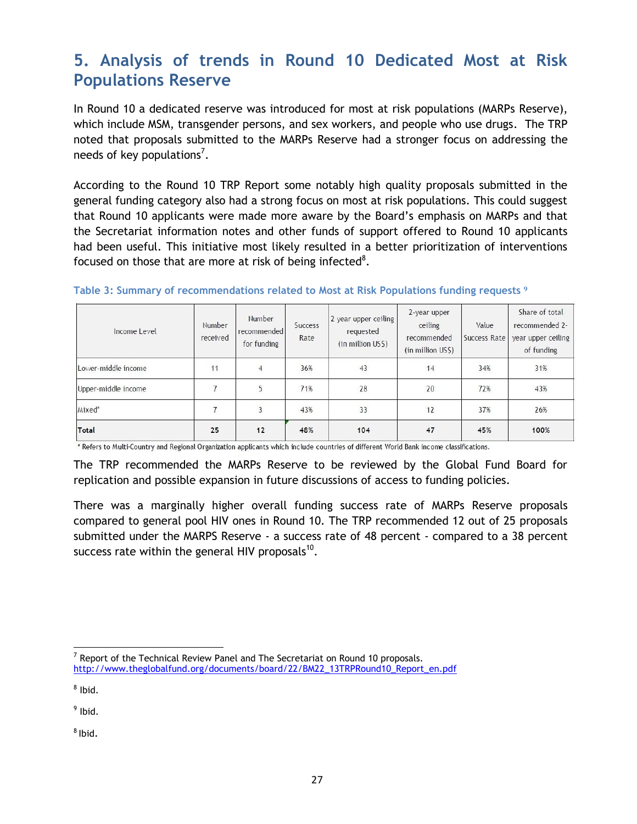## <span id="page-26-0"></span>**5. Analysis of trends in Round 10 Dedicated Most at Risk Populations Reserve**

In Round 10 a dedicated reserve was introduced for most at risk populations (MARPs Reserve), which include MSM, transgender persons, and sex workers, and people who use drugs. The TRP noted that proposals submitted to the MARPs Reserve had a stronger focus on addressing the needs of key populations<sup>7</sup>.

According to the Round 10 TRP Report some notably high quality proposals submitted in the general funding category also had a strong focus on most at risk populations. This could suggest that Round 10 applicants were made more aware by the Board"s emphasis on MARPs and that the Secretariat information notes and other funds of support offered to Round 10 applicants had been useful. This initiative most likely resulted in a better prioritization of interventions focused on those that are more at risk of being infected $8$ .

| Income Level        | Number<br>received | Number<br>recommended<br>for funding | <b>Success</b><br>Rate | 2 year upper ceiling<br>requested<br>(in million US\$) | 2-year upper<br>ceiling<br>recommended<br>(in million USS) | Value<br>Success Rate | Share of total<br>recommended 2-<br>year upper ceiling<br>of funding |
|---------------------|--------------------|--------------------------------------|------------------------|--------------------------------------------------------|------------------------------------------------------------|-----------------------|----------------------------------------------------------------------|
| Lower-middle income | 11                 | $\overline{4}$                       | 36%                    | 43                                                     | 14                                                         | 34%                   | 31%                                                                  |
| Upper-middle income | $\overline{ }$     | 5                                    | 71%                    | 28                                                     | 20                                                         | 72%                   | 43%                                                                  |
| Mixed*              | $\overline{ }$     | 3                                    | 43%                    | 33                                                     | 12                                                         | 37%                   | 26%                                                                  |
| Total               | 25                 | 12                                   | 48%                    | 104                                                    | 47                                                         | 45%                   | 100%                                                                 |

#### **Table 3: Summary of recommendations related to Most at Risk Populations funding requests <sup>9</sup>**

\* Refers to Multi-Country and Regional Organization applicants which include countries of different World Bank income classifications.

The TRP recommended the MARPs Reserve to be reviewed by the Global Fund Board for replication and possible expansion in future discussions of access to funding policies.

There was a marginally higher overall funding success rate of MARPs Reserve proposals compared to general pool HIV ones in Round 10. The TRP recommended 12 out of 25 proposals submitted under the MARPS Reserve - a success rate of 48 percent - compared to a 38 percent success rate within the general HIV proposals $^{10}$ .

<sup>9</sup> Ibid.

<sup>8</sup> Ibid.

 $\ddot{\phantom{a}}$ 7 Report of the Technical Review Panel and The Secretariat on Round 10 proposals. [http://www.theglobalfund.org/documents/board/22/BM22\\_13TRPRound10\\_Report\\_en.pdf](http://www.theglobalfund.org/documents/board/22/BM22_13TRPRound10_Report_en.pdf)

<sup>&</sup>lt;sup>8</sup> Ibid.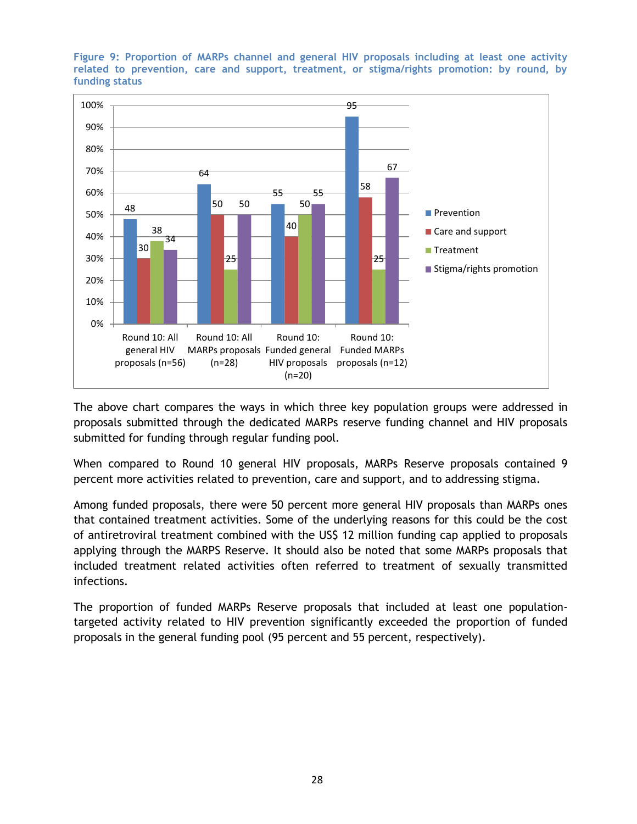

**Figure 9: Proportion of MARPs channel and general HIV proposals including at least one activity related to prevention, care and support, treatment, or stigma/rights promotion: by round, by funding status**

The above chart compares the ways in which three key population groups were addressed in proposals submitted through the dedicated MARPs reserve funding channel and HIV proposals submitted for funding through regular funding pool.

When compared to Round 10 general HIV proposals, MARPs Reserve proposals contained 9 percent more activities related to prevention, care and support, and to addressing stigma.

Among funded proposals, there were 50 percent more general HIV proposals than MARPs ones that contained treatment activities. Some of the underlying reasons for this could be the cost of antiretroviral treatment combined with the US\$ 12 million funding cap applied to proposals applying through the MARPS Reserve. It should also be noted that some MARPs proposals that included treatment related activities often referred to treatment of sexually transmitted infections.

The proportion of funded MARPs Reserve proposals that included at least one populationtargeted activity related to HIV prevention significantly exceeded the proportion of funded proposals in the general funding pool (95 percent and 55 percent, respectively).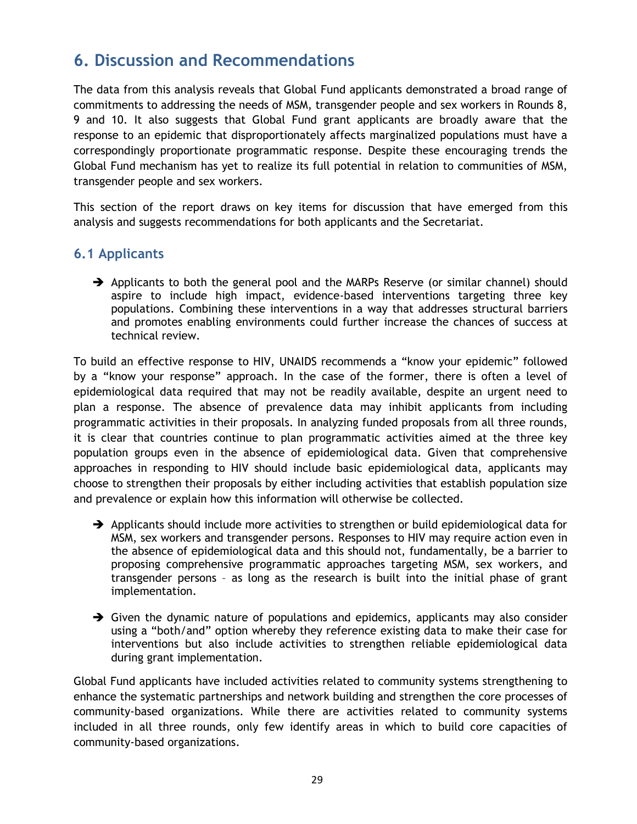## <span id="page-28-0"></span>**6. Discussion and Recommendations**

The data from this analysis reveals that Global Fund applicants demonstrated a broad range of commitments to addressing the needs of MSM, transgender people and sex workers in Rounds 8, 9 and 10. It also suggests that Global Fund grant applicants are broadly aware that the response to an epidemic that disproportionately affects marginalized populations must have a correspondingly proportionate programmatic response. Despite these encouraging trends the Global Fund mechanism has yet to realize its full potential in relation to communities of MSM, transgender people and sex workers.

This section of the report draws on key items for discussion that have emerged from this analysis and suggests recommendations for both applicants and the Secretariat.

#### <span id="page-28-1"></span>**6.1 Applicants**

 $\rightarrow$  Applicants to both the general pool and the MARPs Reserve (or similar channel) should aspire to include high impact, evidence-based interventions targeting three key populations. Combining these interventions in a way that addresses structural barriers and promotes enabling environments could further increase the chances of success at technical review.

To build an effective response to HIV, UNAIDS recommends a "know your epidemic" followed by a "know your response" approach. In the case of the former, there is often a level of epidemiological data required that may not be readily available, despite an urgent need to plan a response. The absence of prevalence data may inhibit applicants from including programmatic activities in their proposals. In analyzing funded proposals from all three rounds, it is clear that countries continue to plan programmatic activities aimed at the three key population groups even in the absence of epidemiological data. Given that comprehensive approaches in responding to HIV should include basic epidemiological data, applicants may choose to strengthen their proposals by either including activities that establish population size and prevalence or explain how this information will otherwise be collected.

- $\rightarrow$  Applicants should include more activities to strengthen or build epidemiological data for MSM, sex workers and transgender persons. Responses to HIV may require action even in the absence of epidemiological data and this should not, fundamentally, be a barrier to proposing comprehensive programmatic approaches targeting MSM, sex workers, and transgender persons – as long as the research is built into the initial phase of grant implementation.
- $\rightarrow$  Given the dynamic nature of populations and epidemics, applicants may also consider using a "both/and" option whereby they reference existing data to make their case for interventions but also include activities to strengthen reliable epidemiological data during grant implementation.

Global Fund applicants have included activities related to community systems strengthening to enhance the systematic partnerships and network building and strengthen the core processes of community-based organizations. While there are activities related to community systems included in all three rounds, only few identify areas in which to build core capacities of community-based organizations.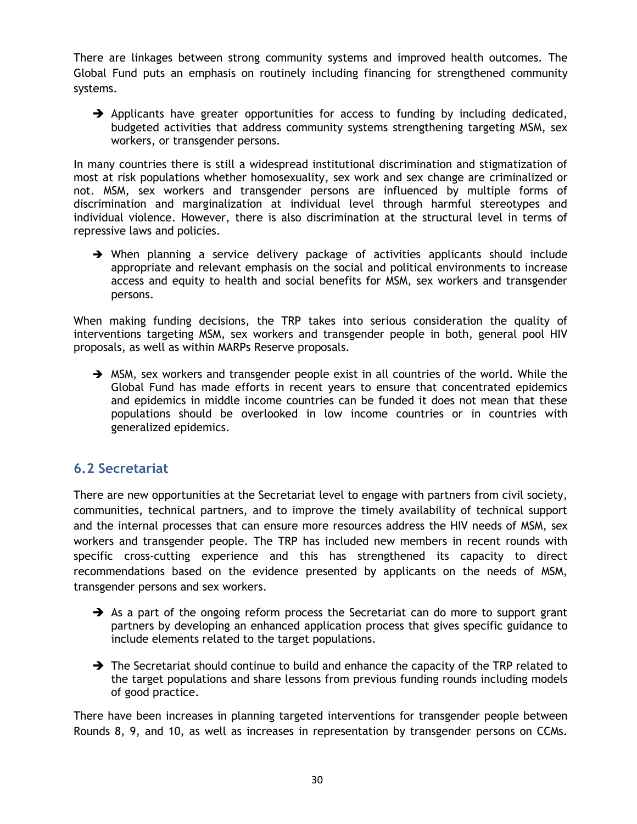There are linkages between strong community systems and improved health outcomes. The Global Fund puts an emphasis on routinely including financing for strengthened community systems.

 $\rightarrow$  Applicants have greater opportunities for access to funding by including dedicated, budgeted activities that address community systems strengthening targeting MSM, sex workers, or transgender persons.

In many countries there is still a widespread institutional discrimination and stigmatization of most at risk populations whether homosexuality, sex work and sex change are criminalized or not. MSM, sex workers and transgender persons are influenced by multiple forms of discrimination and marginalization at individual level through harmful stereotypes and individual violence. However, there is also discrimination at the structural level in terms of repressive laws and policies.

 $\rightarrow$  When planning a service delivery package of activities applicants should include appropriate and relevant emphasis on the social and political environments to increase access and equity to health and social benefits for MSM, sex workers and transgender persons.

When making funding decisions, the TRP takes into serious consideration the quality of interventions targeting MSM, sex workers and transgender people in both, general pool HIV proposals, as well as within MARPs Reserve proposals.

 $\rightarrow$  MSM, sex workers and transgender people exist in all countries of the world. While the Global Fund has made efforts in recent years to ensure that concentrated epidemics and epidemics in middle income countries can be funded it does not mean that these populations should be overlooked in low income countries or in countries with generalized epidemics.

#### <span id="page-29-0"></span>**6.2 Secretariat**

There are new opportunities at the Secretariat level to engage with partners from civil society, communities, technical partners, and to improve the timely availability of technical support and the internal processes that can ensure more resources address the HIV needs of MSM, sex workers and transgender people. The TRP has included new members in recent rounds with specific cross-cutting experience and this has strengthened its capacity to direct recommendations based on the evidence presented by applicants on the needs of MSM, transgender persons and sex workers.

- $\rightarrow$  As a part of the ongoing reform process the Secretariat can do more to support grant partners by developing an enhanced application process that gives specific guidance to include elements related to the target populations.
- $\rightarrow$  The Secretariat should continue to build and enhance the capacity of the TRP related to the target populations and share lessons from previous funding rounds including models of good practice.

There have been increases in planning targeted interventions for transgender people between Rounds 8, 9, and 10, as well as increases in representation by transgender persons on CCMs.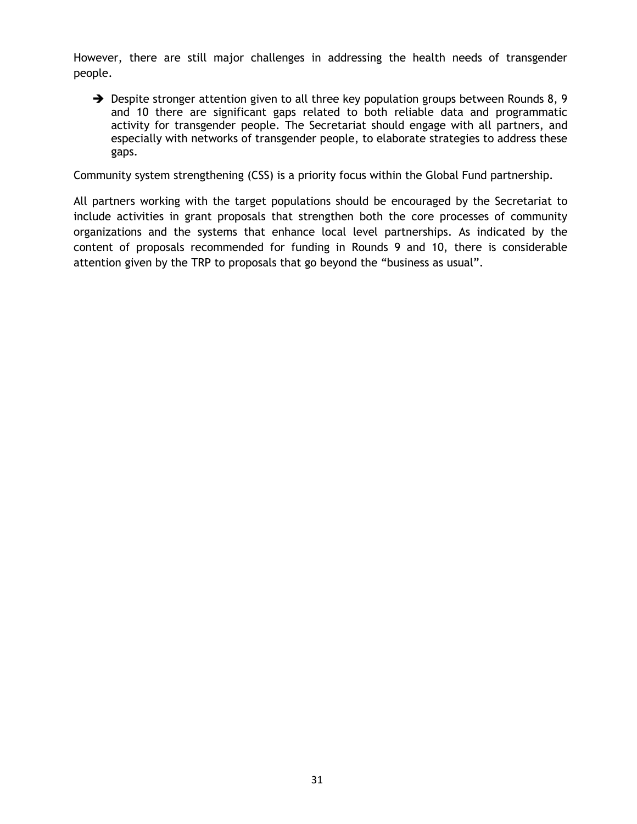However, there are still major challenges in addressing the health needs of transgender people.

 $\rightarrow$  Despite stronger attention given to all three key population groups between Rounds 8, 9 and 10 there are significant gaps related to both reliable data and programmatic activity for transgender people. The Secretariat should engage with all partners, and especially with networks of transgender people, to elaborate strategies to address these gaps.

Community system strengthening (CSS) is a priority focus within the Global Fund partnership.

<span id="page-30-0"></span>All partners working with the target populations should be encouraged by the Secretariat to include activities in grant proposals that strengthen both the core processes of community organizations and the systems that enhance local level partnerships. As indicated by the content of proposals recommended for funding in Rounds 9 and 10, there is considerable attention given by the TRP to proposals that go beyond the "business as usual".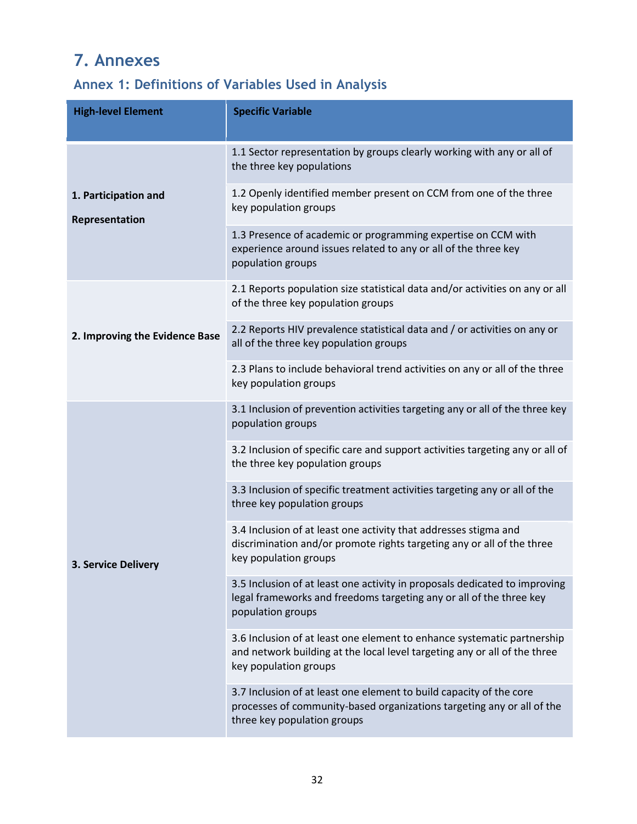# **7. Annexes**

# **Annex 1: Definitions of Variables Used in Analysis**

| <b>High-level Element</b>              | <b>Specific Variable</b>                                                                                                                                                      |  |  |  |  |
|----------------------------------------|-------------------------------------------------------------------------------------------------------------------------------------------------------------------------------|--|--|--|--|
| 1. Participation and<br>Representation | 1.1 Sector representation by groups clearly working with any or all of<br>the three key populations                                                                           |  |  |  |  |
|                                        | 1.2 Openly identified member present on CCM from one of the three<br>key population groups                                                                                    |  |  |  |  |
|                                        | 1.3 Presence of academic or programming expertise on CCM with<br>experience around issues related to any or all of the three key<br>population groups                         |  |  |  |  |
| 2. Improving the Evidence Base         | 2.1 Reports population size statistical data and/or activities on any or all<br>of the three key population groups                                                            |  |  |  |  |
|                                        | 2.2 Reports HIV prevalence statistical data and / or activities on any or<br>all of the three key population groups                                                           |  |  |  |  |
|                                        | 2.3 Plans to include behavioral trend activities on any or all of the three<br>key population groups                                                                          |  |  |  |  |
|                                        | 3.1 Inclusion of prevention activities targeting any or all of the three key<br>population groups                                                                             |  |  |  |  |
|                                        | 3.2 Inclusion of specific care and support activities targeting any or all of<br>the three key population groups                                                              |  |  |  |  |
|                                        | 3.3 Inclusion of specific treatment activities targeting any or all of the<br>three key population groups                                                                     |  |  |  |  |
| <b>3. Service Delivery</b>             | 3.4 Inclusion of at least one activity that addresses stigma and<br>discrimination and/or promote rights targeting any or all of the three<br>key population groups           |  |  |  |  |
|                                        | 3.5 Inclusion of at least one activity in proposals dedicated to improving<br>legal frameworks and freedoms targeting any or all of the three key<br>population groups        |  |  |  |  |
|                                        | 3.6 Inclusion of at least one element to enhance systematic partnership<br>and network building at the local level targeting any or all of the three<br>key population groups |  |  |  |  |
|                                        | 3.7 Inclusion of at least one element to build capacity of the core<br>processes of community-based organizations targeting any or all of the<br>three key population groups  |  |  |  |  |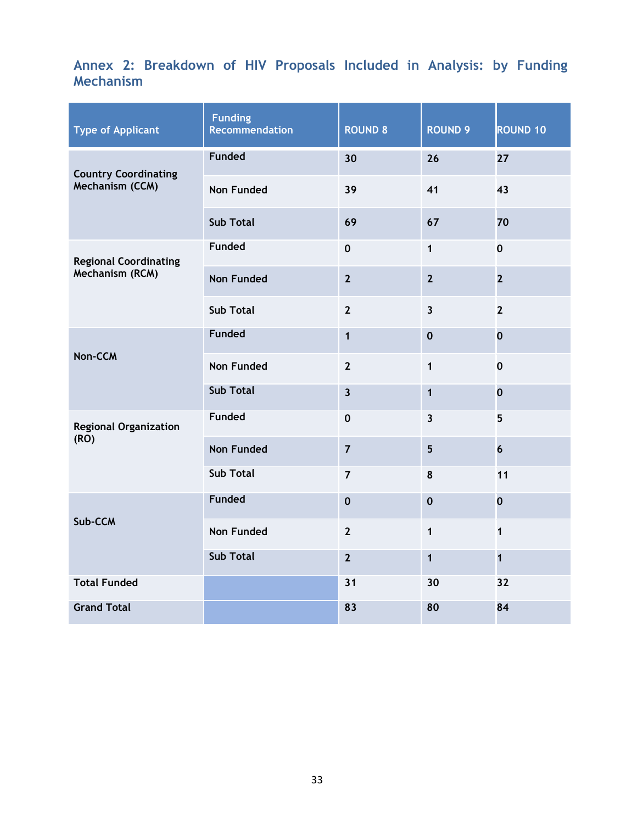## **Annex 2: Breakdown of HIV Proposals Included in Analysis: by Funding Mechanism**

| <b>Type of Applicant</b>                        | <b>Funding</b><br><b>Recommendation</b> | <b>ROUND 8</b>          | <b>ROUND 9</b>  | <b>ROUND 10</b> |
|-------------------------------------------------|-----------------------------------------|-------------------------|-----------------|-----------------|
| <b>Country Coordinating</b><br>Mechanism (CCM)  | <b>Funded</b>                           | 30                      | 26              | 27              |
|                                                 | <b>Non Funded</b>                       | 39                      | 41              | 43              |
|                                                 | <b>Sub Total</b>                        | 69                      | 67              | 70              |
| <b>Regional Coordinating</b><br>Mechanism (RCM) | Funded                                  | $\mathbf 0$             | 1               | $\mathbf 0$     |
|                                                 | <b>Non Funded</b>                       | $\overline{2}$          | $\overline{2}$  | $\overline{2}$  |
|                                                 | <b>Sub Total</b>                        | $\overline{2}$          | $\overline{3}$  | $\overline{2}$  |
| Non-CCM                                         | <b>Funded</b>                           | $\mathbf{1}$            | $\mathbf 0$     | $\mathbf 0$     |
|                                                 | <b>Non Funded</b>                       | $\mathbf{2}$            | $\mathbf{1}$    | $\mathbf 0$     |
|                                                 | <b>Sub Total</b>                        | $\overline{\mathbf{3}}$ | $\mathbf{1}$    | $\mathbf 0$     |
| <b>Regional Organization</b><br>(RO)            | <b>Funded</b>                           | $\mathbf 0$             | $\overline{3}$  | 5               |
|                                                 | <b>Non Funded</b>                       | $\overline{7}$          | $5\overline{)}$ | $6\phantom{a}$  |
|                                                 | Sub Total                               | $\overline{7}$          | 8               | 11              |
| Sub-CCM                                         | <b>Funded</b>                           | $\mathbf 0$             | $\mathbf 0$     | $\bf{0}$        |
|                                                 | <b>Non Funded</b>                       | $2^{1}$                 | $\mathbf{1}$    | $\mathbf{1}$    |
|                                                 | <b>Sub Total</b>                        | $\overline{2}$          | $\mathbf{1}$    | $\mathbf{1}$    |
| <b>Total Funded</b>                             |                                         | 31                      | 30              | 32              |
| <b>Grand Total</b>                              |                                         | 83                      | 80              | 84              |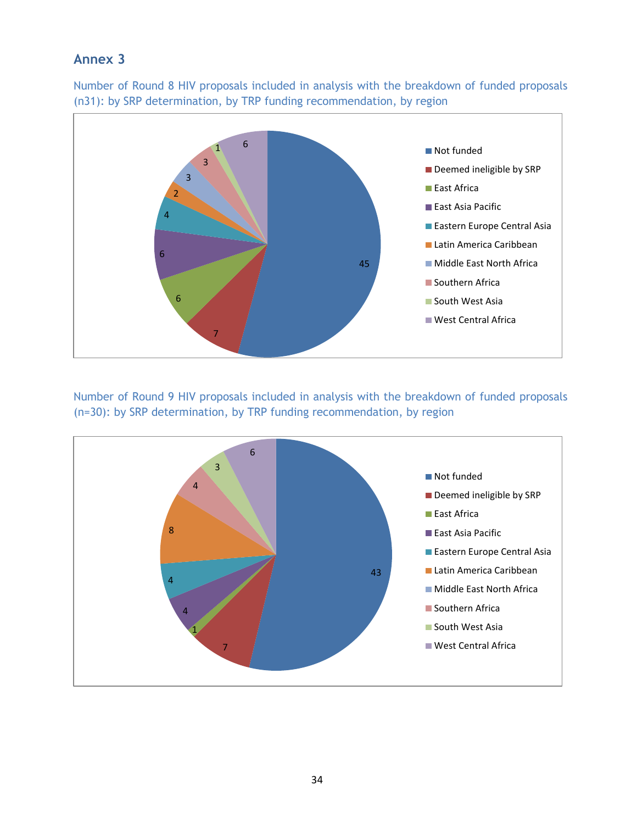### **Annex 3**

Number of Round 8 HIV proposals included in analysis with the breakdown of funded proposals (n31): by SRP determination, by TRP funding recommendation, by region



Number of Round 9 HIV proposals included in analysis with the breakdown of funded proposals (n=30): by SRP determination, by TRP funding recommendation, by region

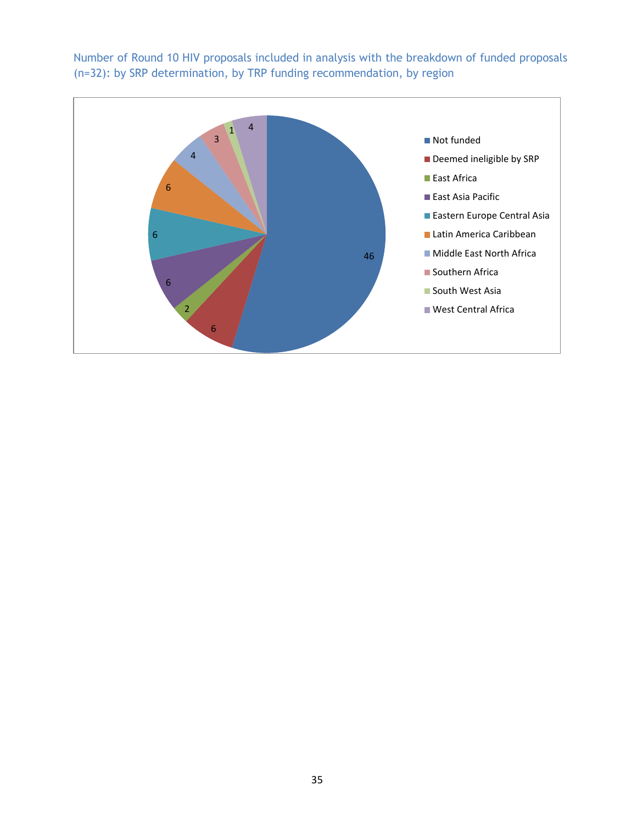Number of Round 10 HIV proposals included in analysis with the breakdown of funded proposals (n=32): by SRP determination, by TRP funding recommendation, by region

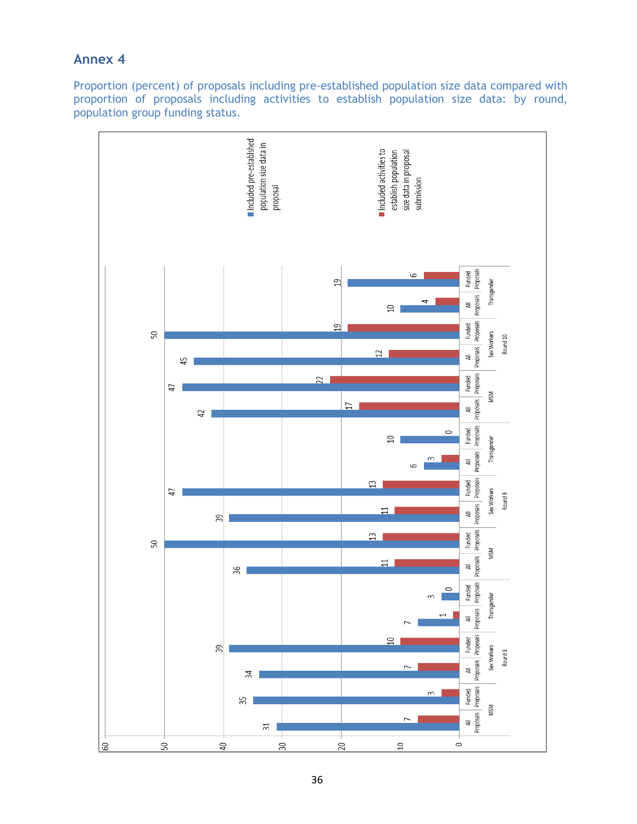### **Annex 4**

Proportion (percent) of proposals including pre-established population size data compared with proportion of proposals including activities to establish population size data: by round, population group funding status.

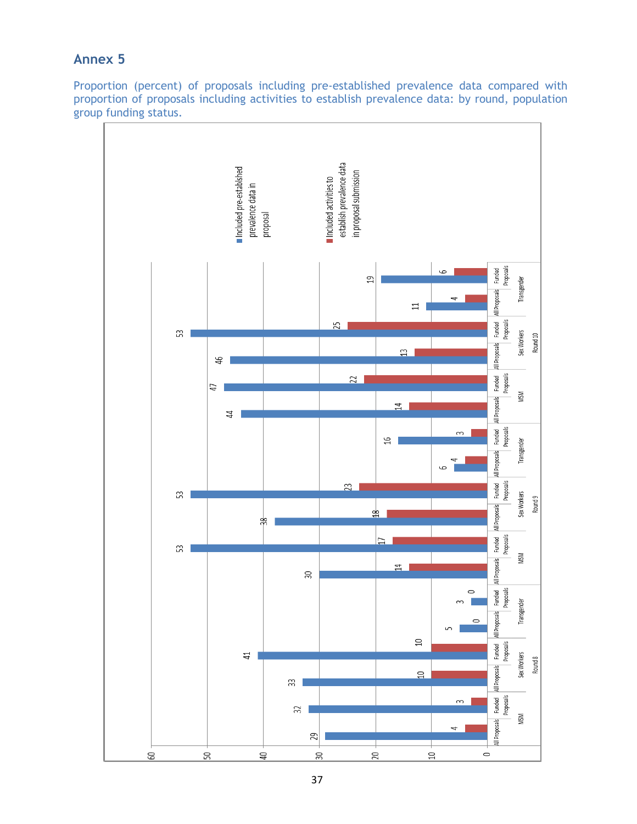### **Annex 5**

Proportion (percent) of proposals including pre-established prevalence data compared with proportion of proposals including activities to establish prevalence data: by round, population group funding status.